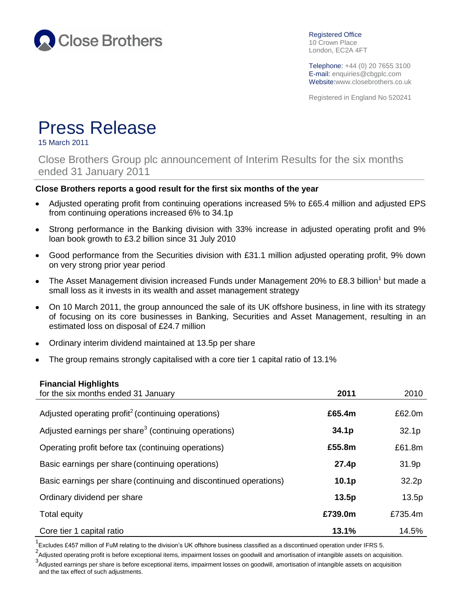

Registered Office 10 Crown Place London, EC2A 4FT

Telephone: +44 (0) 20 7655 3100 E-mail: enquiries@cbgplc.com Website:www.closebrothers.co.uk

Registered in England No 520241

# Press Release

15 March 2011

Close Brothers Group plc announcement of Interim Results for the six months ended 31 January 2011

## **Close Brothers reports a good result for the first six months of the year**

- $\bullet$ Adjusted operating profit from continuing operations increased 5% to £65.4 million and adjusted EPS from continuing operations increased 6% to 34.1p
- Strong performance in the Banking division with 33% increase in adjusted operating profit and 9%  $\bullet$ loan book growth to £3.2 billion since 31 July 2010
- Good performance from the Securities division with £31.1 million adjusted operating profit, 9% down  $\bullet$ on very strong prior year period
- The Asset Management division increased Funds under Management 20% to £8.3 billion<sup>1</sup> but made a  $\bullet$ small loss as it invests in its wealth and asset management strategy
- On 10 March 2011, the group announced the sale of its UK offshore business, in line with its strategy  $\bullet$ of focusing on its core businesses in Banking, Securities and Asset Management, resulting in an estimated loss on disposal of £24.7 million
- Ordinary interim dividend maintained at 13.5p per share
- The group remains strongly capitalised with a core tier 1 capital ratio of 13.1%

## **Financial Highlights**

| for the six months ended 31 January                               | 2011              | 2010              |
|-------------------------------------------------------------------|-------------------|-------------------|
| Adjusted operating profit <sup>2</sup> (continuing operations)    | £65.4m            | £62.0m            |
| Adjusted earnings per share <sup>3</sup> (continuing operations)  | 34.1 <sub>p</sub> | 32.1 <sub>p</sub> |
| Operating profit before tax (continuing operations)               | £55.8m            | £61.8m            |
| Basic earnings per share (continuing operations)                  | 27.4p             | 31.9p             |
| Basic earnings per share (continuing and discontinued operations) | 10.1 <sub>p</sub> | 32.2p             |
| Ordinary dividend per share                                       | 13.5p             | 13.5p             |
| Total equity                                                      | £739.0m           | £735.4m           |
| Core tier 1 capital ratio                                         | 13.1%             | 14.5%             |

<sup>1</sup> Excludes £457 million of FuM relating to the division's UK offshore business classified as a discontinued operation under IFRS 5.

<sup>2</sup>Adjusted operating profit is before exceptional items, impairment losses on goodwill and amortisation of intangible assets on acquisition.

<sup>3</sup>Adjusted earnings per share is before exceptional items, impairment losses on goodwill, amortisation of intangible assets on acquisition and the tax effect of such adjustments.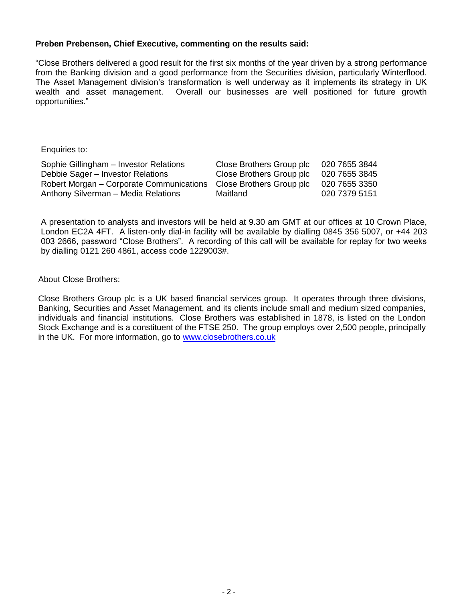## **Preben Prebensen, Chief Executive, commenting on the results said:**

"Close Brothers delivered a good result for the first six months of the year driven by a strong performance from the Banking division and a good performance from the Securities division, particularly Winterflood. The Asset Management division's transformation is well underway as it implements its strategy in UK wealth and asset management. Overall our businesses are well positioned for future growth opportunities."

Enquiries to:

| Sophie Gillingham - Investor Relations   | Close Brothers Group plc | 020 7655 3844 |
|------------------------------------------|--------------------------|---------------|
| Debbie Sager - Investor Relations        | Close Brothers Group plc | 020 7655 3845 |
| Robert Morgan – Corporate Communications | Close Brothers Group plc | 020 7655 3350 |
| Anthony Silverman - Media Relations      | Maitland                 | 020 7379 5151 |

A presentation to analysts and investors will be held at 9.30 am GMT at our offices at 10 Crown Place, London EC2A 4FT. A listen-only dial-in facility will be available by dialling 0845 356 5007, or +44 203 003 2666, password "Close Brothers". A recording of this call will be available for replay for two weeks by dialling 0121 260 4861, access code 1229003#.

About Close Brothers:

Close Brothers Group plc is a UK based financial services group. It operates through three divisions, Banking, Securities and Asset Management, and its clients include small and medium sized companies, individuals and financial institutions. Close Brothers was established in 1878, is listed on the London Stock Exchange and is a constituent of the FTSE 250. The group employs over 2,500 people, principally in the UK. For more information, go to [www.closebrothers.co.uk](http://www.closebrothers.co.uk/)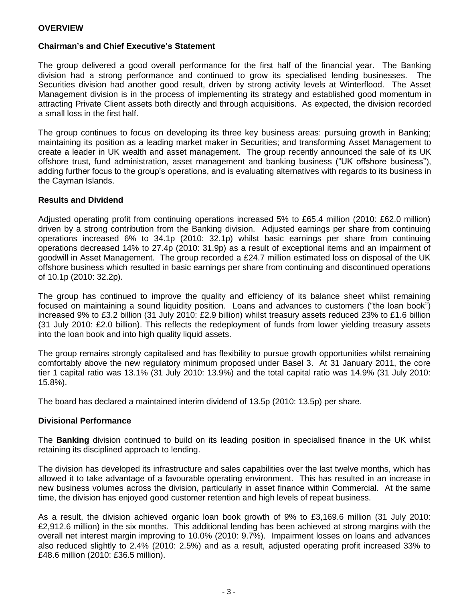## **Chairman's and Chief Executive's Statement**

The group delivered a good overall performance for the first half of the financial year. The Banking division had a strong performance and continued to grow its specialised lending businesses. The Securities division had another good result, driven by strong activity levels at Winterflood. The Asset Management division is in the process of implementing its strategy and established good momentum in attracting Private Client assets both directly and through acquisitions. As expected, the division recorded a small loss in the first half.

The group continues to focus on developing its three key business areas: pursuing growth in Banking; maintaining its position as a leading market maker in Securities; and transforming Asset Management to create a leader in UK wealth and asset management. The group recently announced the sale of its UK offshore trust, fund administration, asset management and banking business ("UK offshore business"), adding further focus to the group's operations, and is evaluating alternatives with regards to its business in the Cayman Islands.

#### **Results and Dividend**

Adjusted operating profit from continuing operations increased 5% to £65.4 million (2010: £62.0 million) driven by a strong contribution from the Banking division. Adjusted earnings per share from continuing operations increased 6% to 34.1p (2010: 32.1p) whilst basic earnings per share from continuing operations decreased 14% to 27.4p (2010: 31.9p) as a result of exceptional items and an impairment of goodwill in Asset Management. The group recorded a £24.7 million estimated loss on disposal of the UK offshore business which resulted in basic earnings per share from continuing and discontinued operations of 10.1p (2010: 32.2p).

The group has continued to improve the quality and efficiency of its balance sheet whilst remaining focused on maintaining a sound liquidity position. Loans and advances to customers ("the loan book") increased 9% to £3.2 billion (31 July 2010: £2.9 billion) whilst treasury assets reduced 23% to £1.6 billion (31 July 2010: £2.0 billion). This reflects the redeployment of funds from lower yielding treasury assets into the loan book and into high quality liquid assets.

The group remains strongly capitalised and has flexibility to pursue growth opportunities whilst remaining comfortably above the new regulatory minimum proposed under Basel 3. At 31 January 2011, the core tier 1 capital ratio was 13.1% (31 July 2010: 13.9%) and the total capital ratio was 14.9% (31 July 2010: 15.8%).

The board has declared a maintained interim dividend of 13.5p (2010: 13.5p) per share.

#### **Divisional Performance**

The **Banking** division continued to build on its leading position in specialised finance in the UK whilst retaining its disciplined approach to lending.

The division has developed its infrastructure and sales capabilities over the last twelve months, which has allowed it to take advantage of a favourable operating environment. This has resulted in an increase in new business volumes across the division, particularly in asset finance within Commercial. At the same time, the division has enjoyed good customer retention and high levels of repeat business.

As a result, the division achieved organic loan book growth of 9% to £3,169.6 million (31 July 2010: £2,912.6 million) in the six months. This additional lending has been achieved at strong margins with the overall net interest margin improving to 10.0% (2010: 9.7%). Impairment losses on loans and advances also reduced slightly to 2.4% (2010: 2.5%) and as a result, adjusted operating profit increased 33% to £48.6 million (2010: £36.5 million).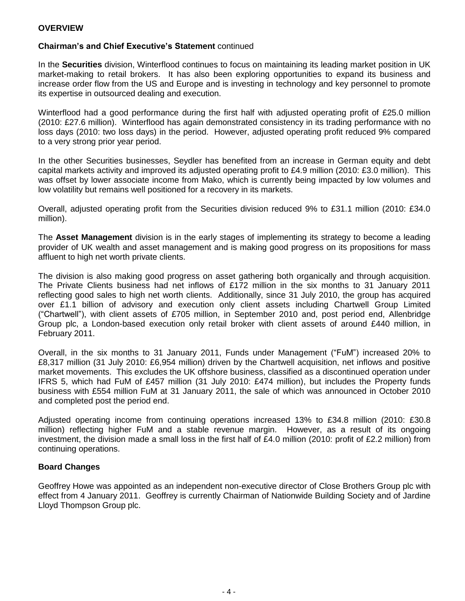## **OVERVIEW**

## **Chairman's and Chief Executive's Statement** continued

In the **Securities** division, Winterflood continues to focus on maintaining its leading market position in UK market-making to retail brokers. It has also been exploring opportunities to expand its business and increase order flow from the US and Europe and is investing in technology and key personnel to promote its expertise in outsourced dealing and execution.

Winterflood had a good performance during the first half with adjusted operating profit of £25.0 million (2010: £27.6 million). Winterflood has again demonstrated consistency in its trading performance with no loss days (2010: two loss days) in the period. However, adjusted operating profit reduced 9% compared to a very strong prior year period.

In the other Securities businesses, Seydler has benefited from an increase in German equity and debt capital markets activity and improved its adjusted operating profit to £4.9 million (2010: £3.0 million). This was offset by lower associate income from Mako, which is currently being impacted by low volumes and low volatility but remains well positioned for a recovery in its markets.

Overall, adjusted operating profit from the Securities division reduced 9% to £31.1 million (2010: £34.0 million).

The **Asset Management** division is in the early stages of implementing its strategy to become a leading provider of UK wealth and asset management and is making good progress on its propositions for mass affluent to high net worth private clients.

The division is also making good progress on asset gathering both organically and through acquisition. The Private Clients business had net inflows of £172 million in the six months to 31 January 2011 reflecting good sales to high net worth clients. Additionally, since 31 July 2010, the group has acquired over £1.1 billion of advisory and execution only client assets including Chartwell Group Limited ("Chartwell"), with client assets of £705 million, in September 2010 and, post period end, Allenbridge Group plc, a London-based execution only retail broker with client assets of around £440 million, in February 2011.

Overall, in the six months to 31 January 2011, Funds under Management ("FuM") increased 20% to £8,317 million (31 July 2010: £6,954 million) driven by the Chartwell acquisition, net inflows and positive market movements. This excludes the UK offshore business, classified as a discontinued operation under IFRS 5, which had FuM of £457 million (31 July 2010: £474 million), but includes the Property funds business with £554 million FuM at 31 January 2011, the sale of which was announced in October 2010 and completed post the period end.

Adjusted operating income from continuing operations increased 13% to £34.8 million (2010: £30.8 million) reflecting higher FuM and a stable revenue margin. However, as a result of its ongoing investment, the division made a small loss in the first half of £4.0 million (2010: profit of £2.2 million) from continuing operations.

#### **Board Changes**

Geoffrey Howe was appointed as an independent non-executive director of Close Brothers Group plc with effect from 4 January 2011. Geoffrey is currently Chairman of Nationwide Building Society and of Jardine Lloyd Thompson Group plc.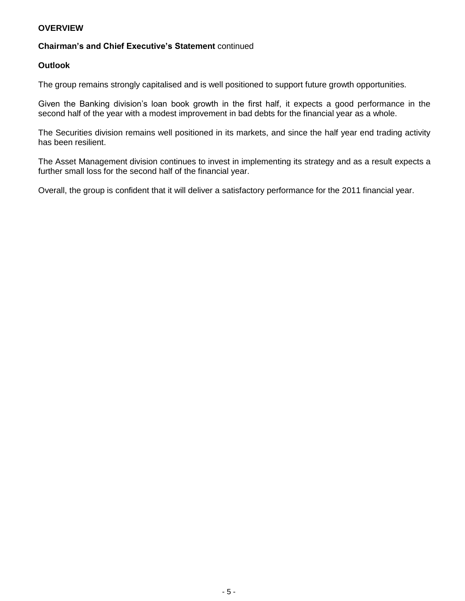## **OVERVIEW**

## **Chairman's and Chief Executive's Statement** continued

#### **Outlook**

The group remains strongly capitalised and is well positioned to support future growth opportunities.

Given the Banking division's loan book growth in the first half, it expects a good performance in the second half of the year with a modest improvement in bad debts for the financial year as a whole.

The Securities division remains well positioned in its markets, and since the half year end trading activity has been resilient.

The Asset Management division continues to invest in implementing its strategy and as a result expects a further small loss for the second half of the financial year.

Overall, the group is confident that it will deliver a satisfactory performance for the 2011 financial year.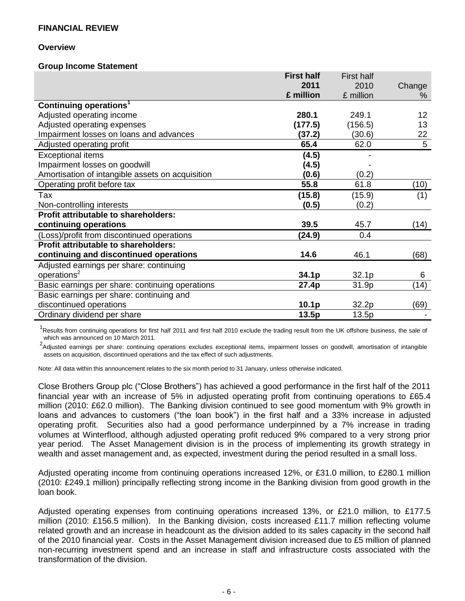#### **Overview**

#### **Group Income Statement**

|                                                  | <b>First half</b> | <b>First half</b> |                 |
|--------------------------------------------------|-------------------|-------------------|-----------------|
|                                                  | 2011              | 2010              | Change          |
|                                                  | £ million         | £ million         | %               |
| Continuing operations <sup>1</sup>               |                   |                   |                 |
| Adjusted operating income                        | 280.1             | 249.1             | 12              |
| Adjusted operating expenses                      | (177.5)           | (156.5)           | 13 <sup>°</sup> |
| Impairment losses on loans and advances          | (37.2)            | (30.6)            | 22              |
| Adjusted operating profit                        | 65.4              | 62.0              | 5               |
| <b>Exceptional items</b>                         | (4.5)             |                   |                 |
| Impairment losses on goodwill                    | (4.5)             |                   |                 |
| Amortisation of intangible assets on acquisition | (0.6)             | (0.2)             |                 |
| Operating profit before tax                      | 55.8              | 61.8              | (10)            |
| Tax                                              | (15.8)            | (15.9)            | (1)             |
| Non-controlling interests                        | (0.5)             | (0.2)             |                 |
| <b>Profit attributable to shareholders:</b>      |                   |                   |                 |
| continuing operations                            | 39.5              | 45.7              | (14)            |
| (Loss)/profit from discontinued operations       | (24.9)            | 0.4               |                 |
| <b>Profit attributable to shareholders:</b>      |                   |                   |                 |
| continuing and discontinued operations           | 14.6              | 46.1              | (68)            |
| Adjusted earnings per share: continuing          |                   |                   |                 |
| operations <sup>2</sup>                          | 34.1p             | 32.1 <sub>p</sub> | 6               |
| Basic earnings per share: continuing operations  | 27.4p             | 31.9p             | (14)            |
| Basic earnings per share: continuing and         |                   |                   |                 |
| discontinued operations                          | 10.1 <sub>p</sub> | 32.2p             | (69)            |
| Ordinary dividend per share                      | 13.5p             | 13.5p             |                 |

<sup>1</sup>Results from continuing operations for first half 2011 and first half 2010 exclude the trading result from the UK offshore business, the sale of which was announced on 10 March 2011.

<sup>2</sup>Adjusted earnings per share: continuing operations excludes exceptional items, impairment losses on goodwill, amortisation of intangible assets on acquisition, discontinued operations and the tax effect of such adjustments.

Note: All data within this announcement relates to the six month period to 31 January, unless otherwise indicated.

Close Brothers Group plc ("Close Brothers") has achieved a good performance in the first half of the 2011 financial year with an increase of 5% in adjusted operating profit from continuing operations to £65.4 million (2010: £62.0 million). The Banking division continued to see good momentum with 9% growth in loans and advances to customers ("the loan book") in the first half and a 33% increase in adjusted operating profit. Securities also had a good performance underpinned by a 7% increase in trading volumes at Winterflood, although adjusted operating profit reduced 9% compared to a very strong prior year period. The Asset Management division is in the process of implementing its growth strategy in wealth and asset management and, as expected, investment during the period resulted in a small loss.

Adjusted operating income from continuing operations increased 12%, or £31.0 million, to £280.1 million (2010: £249.1 million) principally reflecting strong income in the Banking division from good growth in the loan book.

Adjusted operating expenses from continuing operations increased 13%, or £21.0 million, to £177.5 million (2010: £156.5 million). In the Banking division, costs increased £11.7 million reflecting volume related growth and an increase in headcount as the division added to its sales capacity in the second half of the 2010 financial year. Costs in the Asset Management division increased due to £5 million of planned non-recurring investment spend and an increase in staff and infrastructure costs associated with the transformation of the division.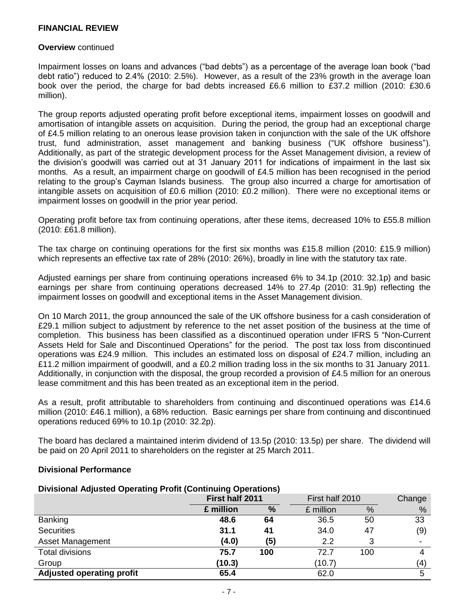#### **Overview** continued

Impairment losses on loans and advances ("bad debts") as a percentage of the average loan book ("bad debt ratio") reduced to 2.4% (2010: 2.5%). However, as a result of the 23% growth in the average loan book over the period, the charge for bad debts increased £6.6 million to £37.2 million (2010: £30.6 million).

The group reports adjusted operating profit before exceptional items, impairment losses on goodwill and amortisation of intangible assets on acquisition. During the period, the group had an exceptional charge of £4.5 million relating to an onerous lease provision taken in conjunction with the sale of the UK offshore trust, fund administration, asset management and banking business ("UK offshore business"). Additionally, as part of the strategic development process for the Asset Management division, a review of the division's goodwill was carried out at 31 January 2011 for indications of impairment in the last six months. As a result, an impairment charge on goodwill of £4.5 million has been recognised in the period relating to the group's Cayman Islands business. The group also incurred a charge for amortisation of intangible assets on acquisition of £0.6 million (2010: £0.2 million). There were no exceptional items or impairment losses on goodwill in the prior year period.

Operating profit before tax from continuing operations, after these items, decreased 10% to £55.8 million (2010: £61.8 million).

The tax charge on continuing operations for the first six months was £15.8 million (2010: £15.9 million) which represents an effective tax rate of 28% (2010: 26%), broadly in line with the statutory tax rate.

Adjusted earnings per share from continuing operations increased 6% to 34.1p (2010: 32.1p) and basic earnings per share from continuing operations decreased 14% to 27.4p (2010: 31.9p) reflecting the impairment losses on goodwill and exceptional items in the Asset Management division.

On 10 March 2011, the group announced the sale of the UK offshore business for a cash consideration of £29.1 million subject to adjustment by reference to the net asset position of the business at the time of completion. This business has been classified as a discontinued operation under IFRS 5 "Non-Current Assets Held for Sale and Discontinued Operations" for the period. The post tax loss from discontinued operations was £24.9 million. This includes an estimated loss on disposal of £24.7 million, including an £11.2 million impairment of goodwill, and a £0.2 million trading loss in the six months to 31 January 2011. Additionally, in conjunction with the disposal, the group recorded a provision of £4.5 million for an onerous lease commitment and this has been treated as an exceptional item in the period.

As a result, profit attributable to shareholders from continuing and discontinued operations was £14.6 million (2010: £46.1 million), a 68% reduction. Basic earnings per share from continuing and discontinued operations reduced 69% to 10.1p (2010: 32.2p).

The board has declared a maintained interim dividend of 13.5p (2010: 13.5p) per share. The dividend will be paid on 20 April 2011 to shareholders on the register at 25 March 2011.

#### **Divisional Performance**

| <b>Divisional Adjusted Operating Profit (Continuing Operations)</b> |                 |     |                 |      |        |
|---------------------------------------------------------------------|-----------------|-----|-----------------|------|--------|
|                                                                     | First half 2011 |     | First half 2010 |      | Change |
|                                                                     | £ million       | %   | £ million       | $\%$ | %      |
| <b>Banking</b>                                                      | 48.6            | 64  | 36.5            | 50   | 33     |
| <b>Securities</b>                                                   | 31.1            | 41  | 34.0            | 47   | (9)    |
| <b>Asset Management</b>                                             | (4.0)           | (5) | 2.2             | 3    |        |
| <b>Total divisions</b>                                              | 75.7            | 100 | 72.7            | 100  | 4      |
| Group                                                               | (10.3)          |     | (10.7)          |      | (4)    |
| <b>Adjusted operating profit</b>                                    | 65.4            |     | 62.0            |      | 5      |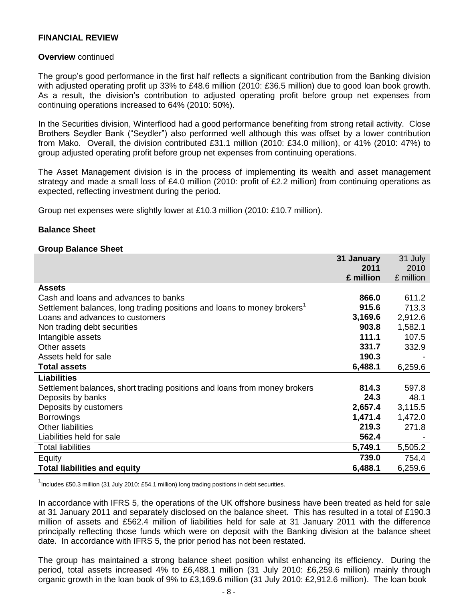#### **Overview** continued

The group's good performance in the first half reflects a significant contribution from the Banking division with adjusted operating profit up 33% to £48.6 million (2010: £36.5 million) due to good loan book growth. As a result, the division's contribution to adjusted operating profit before group net expenses from continuing operations increased to 64% (2010: 50%).

In the Securities division, Winterflood had a good performance benefiting from strong retail activity. Close Brothers Seydler Bank ("Seydler") also performed well although this was offset by a lower contribution from Mako. Overall, the division contributed £31.1 million (2010: £34.0 million), or 41% (2010: 47%) to group adjusted operating profit before group net expenses from continuing operations.

The Asset Management division is in the process of implementing its wealth and asset management strategy and made a small loss of £4.0 million (2010: profit of £2.2 million) from continuing operations as expected, reflecting investment during the period.

Group net expenses were slightly lower at £10.3 million (2010: £10.7 million).

#### **Balance Sheet**

#### **Group Balance Sheet**

|                                                                                     | 31 January | 31 July   |
|-------------------------------------------------------------------------------------|------------|-----------|
|                                                                                     | 2011       | 2010      |
|                                                                                     | £ million  | £ million |
| <b>Assets</b>                                                                       |            |           |
| Cash and loans and advances to banks                                                | 866.0      | 611.2     |
| Settlement balances, long trading positions and loans to money brokers <sup>1</sup> | 915.6      | 713.3     |
| Loans and advances to customers                                                     | 3,169.6    | 2,912.6   |
| Non trading debt securities                                                         | 903.8      | 1,582.1   |
| Intangible assets                                                                   | 111.1      | 107.5     |
| Other assets                                                                        | 331.7      | 332.9     |
| Assets held for sale                                                                | 190.3      |           |
| <b>Total assets</b>                                                                 | 6,488.1    | 6,259.6   |
| <b>Liabilities</b>                                                                  |            |           |
| Settlement balances, short trading positions and loans from money brokers           | 814.3      | 597.8     |
| Deposits by banks                                                                   | 24.3       | 48.1      |
| Deposits by customers                                                               | 2,657.4    | 3,115.5   |
| <b>Borrowings</b>                                                                   | 1,471.4    | 1,472.0   |
| <b>Other liabilities</b>                                                            | 219.3      | 271.8     |
| Liabilities held for sale                                                           | 562.4      |           |
| <b>Total liabilities</b>                                                            | 5,749.1    | 5,505.2   |
| Equity                                                                              | 739.0      | 754.4     |
| <b>Total liabilities and equity</b>                                                 | 6,488.1    | 6,259.6   |

<sup>1</sup>Includes £50.3 million (31 July 2010: £54.1 million) long trading positions in debt securities.

In accordance with IFRS 5, the operations of the UK offshore business have been treated as held for sale at 31 January 2011 and separately disclosed on the balance sheet. This has resulted in a total of £190.3 million of assets and £562.4 million of liabilities held for sale at 31 January 2011 with the difference principally reflecting those funds which were on deposit with the Banking division at the balance sheet date. In accordance with IFRS 5, the prior period has not been restated.

The group has maintained a strong balance sheet position whilst enhancing its efficiency. During the period, total assets increased 4% to £6,488.1 million (31 July 2010: £6,259.6 million) mainly through organic growth in the loan book of 9% to £3,169.6 million (31 July 2010: £2,912.6 million). The loan book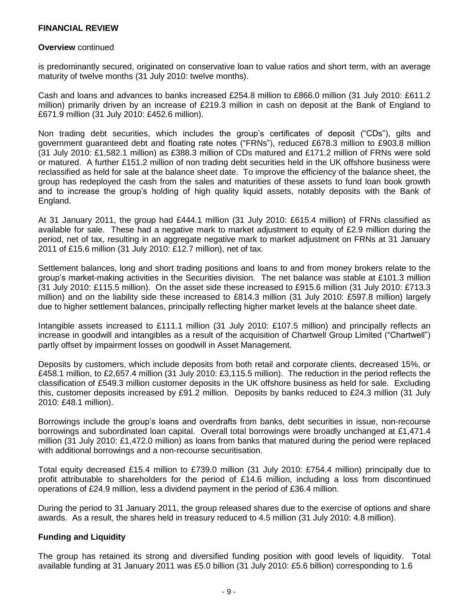#### **Overview** continued

is predominantly secured, originated on conservative loan to value ratios and short term, with an average maturity of twelve months (31 July 2010: twelve months).

Cash and loans and advances to banks increased £254.8 million to £866.0 million (31 July 2010: £611.2 million) primarily driven by an increase of £219.3 million in cash on deposit at the Bank of England to £671.9 million (31 July 2010: £452.6 million).

Non trading debt securities, which includes the group's certificates of deposit ("CDs"), gilts and government guaranteed debt and floating rate notes ("FRNs"), reduced £678.3 million to £903.8 million (31 July 2010: £1,582.1 million) as £388.3 million of CDs matured and £171.2 million of FRNs were sold or matured. A further £151.2 million of non trading debt securities held in the UK offshore business were reclassified as held for sale at the balance sheet date. To improve the efficiency of the balance sheet, the group has redeployed the cash from the sales and maturities of these assets to fund loan book growth and to increase the group's holding of high quality liquid assets, notably deposits with the Bank of England.

At 31 January 2011, the group had £444.1 million (31 July 2010: £615.4 million) of FRNs classified as available for sale. These had a negative mark to market adjustment to equity of £2.9 million during the period, net of tax, resulting in an aggregate negative mark to market adjustment on FRNs at 31 January 2011 of £15.6 million (31 July 2010: £12.7 million), net of tax.

Settlement balances, long and short trading positions and loans to and from money brokers relate to the group's market-making activities in the Securities division. The net balance was stable at £101.3 million (31 July 2010: £115.5 million). On the asset side these increased to £915.6 million (31 July 2010: £713.3 million) and on the liability side these increased to £814.3 million (31 July 2010: £597.8 million) largely due to higher settlement balances, principally reflecting higher market levels at the balance sheet date.

Intangible assets increased to £111.1 million (31 July 2010: £107.5 million) and principally reflects an increase in goodwill and intangibles as a result of the acquisition of Chartwell Group Limited ("Chartwell") partly offset by impairment losses on goodwill in Asset Management.

Deposits by customers, which include deposits from both retail and corporate clients, decreased 15%, or £458.1 million, to £2,657.4 million (31 July 2010: £3,115.5 million). The reduction in the period reflects the classification of £549.3 million customer deposits in the UK offshore business as held for sale. Excluding this, customer deposits increased by £91.2 million. Deposits by banks reduced to £24.3 million (31 July 2010: £48.1 million).

Borrowings include the group's loans and overdrafts from banks, debt securities in issue, non-recourse borrowings and subordinated loan capital. Overall total borrowings were broadly unchanged at £1,471.4 million (31 July 2010: £1,472.0 million) as loans from banks that matured during the period were replaced with additional borrowings and a non-recourse securitisation.

Total equity decreased £15.4 million to £739.0 million (31 July 2010: £754.4 million) principally due to profit attributable to shareholders for the period of £14.6 million, including a loss from discontinued operations of £24.9 million, less a dividend payment in the period of £36.4 million.

During the period to 31 January 2011, the group released shares due to the exercise of options and share awards. As a result, the shares held in treasury reduced to 4.5 million (31 July 2010: 4.8 million).

#### **Funding and Liquidity**

The group has retained its strong and diversified funding position with good levels of liquidity. Total available funding at 31 January 2011 was £5.0 billion (31 July 2010: £5.6 billion) corresponding to 1.6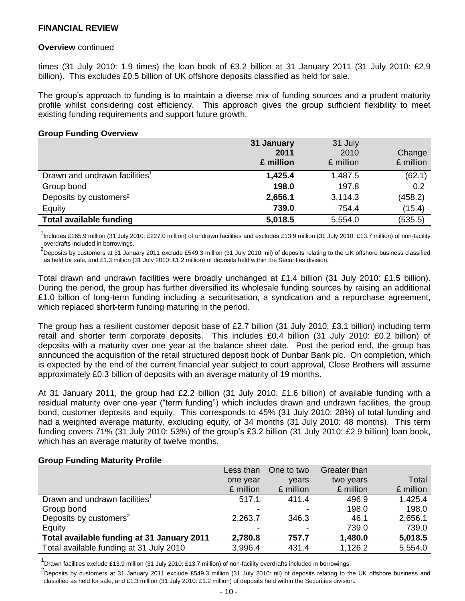#### **Overview** continued

times (31 July 2010: 1.9 times) the loan book of £3.2 billion at 31 January 2011 (31 July 2010: £2.9 billion). This excludes £0.5 billion of UK offshore deposits classified as held for sale.

The group's approach to funding is to maintain a diverse mix of funding sources and a prudent maturity profile whilst considering cost efficiency. This approach gives the group sufficient flexibility to meet existing funding requirements and support future growth.

#### **Group Funding Overview**

|                                           | 31 January<br>2011<br>£ million | 31 July<br>2010<br>£ million | Change<br>£ million |
|-------------------------------------------|---------------------------------|------------------------------|---------------------|
| Drawn and undrawn facilities <sup>1</sup> | 1,425.4                         | 1,487.5                      | (62.1)              |
| Group bond                                | 198.0                           | 197.8                        | 0.2                 |
| Deposits by customers <sup>2</sup>        | 2,656.1                         | 3,114.3                      | (458.2)             |
| Equity                                    | 739.0                           | 754.4                        | (15.4)              |
| <b>Total available funding</b>            | 5,018.5                         | 5,554.0                      | (535.5)             |

<sup>1</sup>Includes £165.9 million (31 July 2010: £227.0 million) of undrawn facilities and excludes £13.9 million (31 July 2010: £13.7 million) of non-facility overdrafts included in borrowings.

<sup>2</sup>Deposits by customers at 31 January 2011 exclude £549.3 million (31 July 2010: nil) of deposits relating to the UK offshore business classified as held for sale, and £1.3 million (31 July 2010: £1.2 million) of deposits held within the Securities division.

Total drawn and undrawn facilities were broadly unchanged at £1.4 billion (31 July 2010: £1.5 billion). During the period, the group has further diversified its wholesale funding sources by raising an additional £1.0 billion of long-term funding including a securitisation, a syndication and a repurchase agreement, which replaced short-term funding maturing in the period.

The group has a resilient customer deposit base of £2.7 billion (31 July 2010: £3.1 billion) including term retail and shorter term corporate deposits. This includes £0.4 billion (31 July 2010: £0.2 billion) of deposits with a maturity over one year at the balance sheet date. Post the period end, the group has announced the acquisition of the retail structured deposit book of Dunbar Bank plc. On completion, which is expected by the end of the current financial year subject to court approval, Close Brothers will assume approximately £0.3 billion of deposits with an average maturity of 19 months.

At 31 January 2011, the group had £2.2 billion (31 July 2010: £1.6 billion) of available funding with a residual maturity over one year ("term funding") which includes drawn and undrawn facilities, the group bond, customer deposits and equity. This corresponds to 45% (31 July 2010: 28%) of total funding and had a weighted average maturity, excluding equity, of 34 months (31 July 2010: 48 months). This term funding covers 71% (31 July 2010: 53%) of the group's £3.2 billion (31 July 2010: £2.9 billion) loan book, which has an average maturity of twelve months.

#### **Group Funding Maturity Profile**

|                                            | Less than | One to two | Greater than |           |
|--------------------------------------------|-----------|------------|--------------|-----------|
|                                            | one year  | years      | two years    | Total     |
|                                            | £ million | £ million  | £ million    | £ million |
| Drawn and undrawn facilities <sup>1</sup>  | 517.1     | 411.4      | 496.9        | 1,425.4   |
| Group bond                                 |           |            | 198.0        | 198.0     |
| Deposits by customers <sup>2</sup>         | 2,263.7   | 346.3      | 46.1         | 2,656.1   |
| Equity                                     |           |            | 739.0        | 739.0     |
| Total available funding at 31 January 2011 | 2,780.8   | 757.7      | 1,480.0      | 5,018.5   |
| Total available funding at 31 July 2010    | 3,996.4   | 431.4      | 1,126.2      | 5,554.0   |

<sup>1</sup> Drawn facilities exclude £13.9 million (31 July 2010: £13.7 million) of non-facility overdrafts included in borrowings.

<sup>2</sup>Deposits by customers at 31 January 2011 exclude £549.3 million (31 July 2010: nil) of deposits relating to the UK offshore business and classified as held for sale, and £1.3 million (31 July 2010: £1.2 million) of deposits held within the Securities division.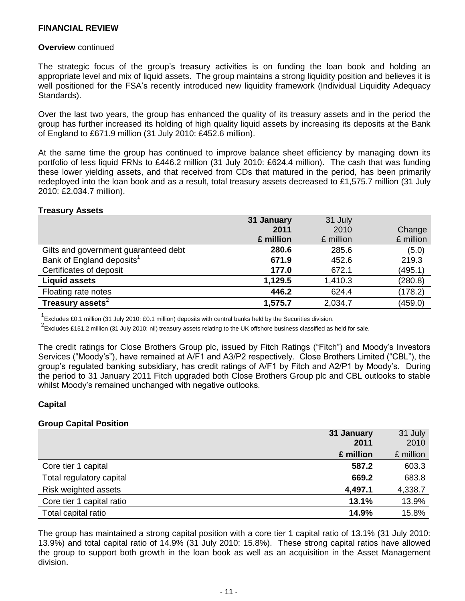#### **Overview** continued

The strategic focus of the group's treasury activities is on funding the loan book and holding an appropriate level and mix of liquid assets. The group maintains a strong liquidity position and believes it is well positioned for the FSA's recently introduced new liquidity framework (Individual Liquidity Adequacy Standards).

Over the last two years, the group has enhanced the quality of its treasury assets and in the period the group has further increased its holding of high quality liquid assets by increasing its deposits at the Bank of England to £671.9 million (31 July 2010: £452.6 million).

At the same time the group has continued to improve balance sheet efficiency by managing down its portfolio of less liquid FRNs to £446.2 million (31 July 2010: £624.4 million). The cash that was funding these lower yielding assets, and that received from CDs that matured in the period, has been primarily redeployed into the loan book and as a result, total treasury assets decreased to £1,575.7 million (31 July 2010: £2,034.7 million).

#### **Treasury Assets**

|                                       | 31 January | 31 July   |           |
|---------------------------------------|------------|-----------|-----------|
|                                       | 2011       | 2010      | Change    |
|                                       | £ million  | £ million | £ million |
| Gilts and government guaranteed debt  | 280.6      | 285.6     | (5.0)     |
| Bank of England deposits <sup>1</sup> | 671.9      | 452.6     | 219.3     |
| Certificates of deposit               | 177.0      | 672.1     | (495.1)   |
| <b>Liquid assets</b>                  | 1,129.5    | 1,410.3   | (280.8)   |
| Floating rate notes                   | 446.2      | 624.4     | (178.2)   |
| Treasury assets $2$                   | 1,575.7    | 2,034.7   | (459.0)   |

 $1$  Excludes £0.1 million (31 July 2010: £0.1 million) deposits with central banks held by the Securities division.

<sup>2</sup> Excludes £151.2 million (31 July 2010: nil) treasury assets relating to the UK offshore business classified as held for sale.

The credit ratings for Close Brothers Group plc, issued by Fitch Ratings ("Fitch") and Moody's Investors Services ("Moody's"), have remained at A/F1 and A3/P2 respectively. Close Brothers Limited ("CBL"), the group's regulated banking subsidiary, has credit ratings of A/F1 by Fitch and A2/P1 by Moody's. During the period to 31 January 2011 Fitch upgraded both Close Brothers Group plc and CBL outlooks to stable whilst Moody's remained unchanged with negative outlooks.

#### **Capital**

#### **Group Capital Position**

|                             | 31 January | 31 July   |
|-----------------------------|------------|-----------|
|                             | 2011       | 2010      |
|                             | £ million  | £ million |
| Core tier 1 capital         | 587.2      | 603.3     |
| Total regulatory capital    | 669.2      | 683.8     |
| <b>Risk weighted assets</b> | 4,497.1    | 4,338.7   |
| Core tier 1 capital ratio   | 13.1%      | 13.9%     |
| Total capital ratio         | 14.9%      | 15.8%     |

The group has maintained a strong capital position with a core tier 1 capital ratio of 13.1% (31 July 2010: 13.9%) and total capital ratio of 14.9% (31 July 2010: 15.8%). These strong capital ratios have allowed the group to support both growth in the loan book as well as an acquisition in the Asset Management division.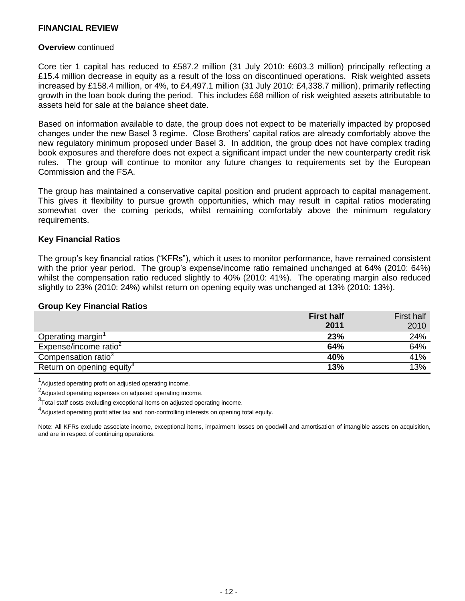#### **Overview** continued

Core tier 1 capital has reduced to £587.2 million (31 July 2010: £603.3 million) principally reflecting a £15.4 million decrease in equity as a result of the loss on discontinued operations. Risk weighted assets increased by £158.4 million, or 4%, to £4,497.1 million (31 July 2010: £4,338.7 million), primarily reflecting growth in the loan book during the period. This includes £68 million of risk weighted assets attributable to assets held for sale at the balance sheet date.

Based on information available to date, the group does not expect to be materially impacted by proposed changes under the new Basel 3 regime. Close Brothers' capital ratios are already comfortably above the new regulatory minimum proposed under Basel 3. In addition, the group does not have complex trading book exposures and therefore does not expect a significant impact under the new counterparty credit risk rules. The group will continue to monitor any future changes to requirements set by the European Commission and the FSA.

The group has maintained a conservative capital position and prudent approach to capital management. This gives it flexibility to pursue growth opportunities, which may result in capital ratios moderating somewhat over the coming periods, whilst remaining comfortably above the minimum regulatory requirements.

#### **Key Financial Ratios**

The group's key financial ratios ("KFRs"), which it uses to monitor performance, have remained consistent with the prior year period. The group's expense/income ratio remained unchanged at 64% (2010: 64%) whilst the compensation ratio reduced slightly to 40% (2010: 41%). The operating margin also reduced slightly to 23% (2010: 24%) whilst return on opening equity was unchanged at 13% (2010: 13%).

#### **Group Key Financial Ratios**

|                                       | <b>First half</b> | First half |
|---------------------------------------|-------------------|------------|
|                                       | 2011              | 2010       |
| Operating margin'                     | 23%               | 24%        |
| Expense/income ratio <sup>2</sup>     | 64%               | 64%        |
| Compensation ratio <sup>3</sup>       | 40%               | 41%        |
| Return on opening equity <sup>4</sup> | 13%               | 13%        |

<sup>1</sup>Adjusted operating profit on adjusted operating income.

<sup>2</sup>Adjusted operating expenses on adjusted operating income.

 $3$ Total staff costs excluding exceptional items on adjusted operating income.

4<br>Adjusted operating profit after tax and non-controlling interests on opening total equity.

Note: All KFRs exclude associate income, exceptional items, impairment losses on goodwill and amortisation of intangible assets on acquisition, and are in respect of continuing operations.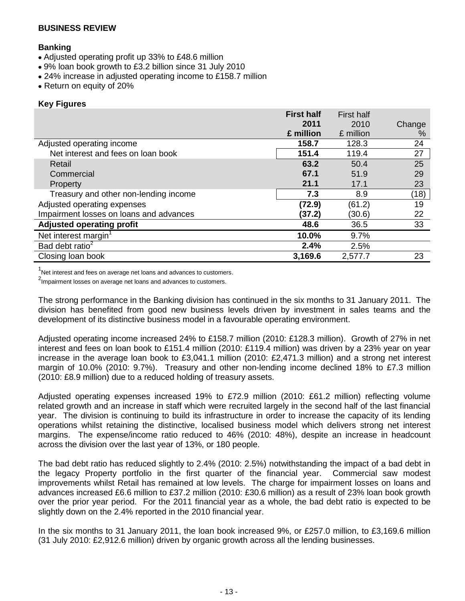## **Banking**

- Adjusted operating profit up 33% to £48.6 million
- 9% loan book growth to £3.2 billion since 31 July 2010
- 24% increase in adjusted operating income to £158.7 million
- Return on equity of 20%

## **Key Figures**

|                                         | <b>First half</b> | <b>First half</b> |        |
|-----------------------------------------|-------------------|-------------------|--------|
|                                         | 2011              | 2010              | Change |
|                                         | £ million         | £ million         | %      |
| Adjusted operating income               | 158.7             | 128.3             | 24     |
| Net interest and fees on loan book      | 151.4             | 119.4             | 27     |
| Retail                                  | 63.2              | 50.4              | 25     |
| Commercial                              | 67.1              | 51.9              | 29     |
| Property                                | 21.1              | 17.1              | 23     |
| Treasury and other non-lending income   | 7.3               | 8.9               | (18)   |
| Adjusted operating expenses             | (72.9)            | (61.2)            | 19     |
| Impairment losses on loans and advances | (37.2)            | (30.6)            | 22     |
| <b>Adjusted operating profit</b>        | 48.6              | 36.5              | 33     |
| Net interest margin <sup>1</sup>        | 10.0%             | 9.7%              |        |
| Bad debt ratio <sup>2</sup>             | 2.4%              | 2.5%              |        |
| Closing loan book                       | 3,169.6           | 2,577.7           | 23     |

 $1$ Net interest and fees on average net loans and advances to customers.

<sup>2</sup> Impairment losses on average net loans and advances to customers.

The strong performance in the Banking division has continued in the six months to 31 January 2011. The division has benefited from good new business levels driven by investment in sales teams and the development of its distinctive business model in a favourable operating environment.

Adjusted operating income increased 24% to £158.7 million (2010: £128.3 million). Growth of 27% in net interest and fees on loan book to £151.4 million (2010: £119.4 million) was driven by a 23% year on year increase in the average loan book to £3,041.1 million (2010: £2,471.3 million) and a strong net interest margin of 10.0% (2010: 9.7%). Treasury and other non-lending income declined 18% to £7.3 million (2010: £8.9 million) due to a reduced holding of treasury assets.

Adjusted operating expenses increased 19% to £72.9 million (2010: £61.2 million) reflecting volume related growth and an increase in staff which were recruited largely in the second half of the last financial year. The division is continuing to build its infrastructure in order to increase the capacity of its lending operations whilst retaining the distinctive, localised business model which delivers strong net interest margins. The expense/income ratio reduced to 46% (2010: 48%), despite an increase in headcount across the division over the last year of 13%, or 180 people.

The bad debt ratio has reduced slightly to 2.4% (2010: 2.5%) notwithstanding the impact of a bad debt in the legacy Property portfolio in the first quarter of the financial year. Commercial saw modest improvements whilst Retail has remained at low levels. The charge for impairment losses on loans and advances increased £6.6 million to £37.2 million (2010: £30.6 million) as a result of 23% loan book growth over the prior year period. For the 2011 financial year as a whole, the bad debt ratio is expected to be slightly down on the 2.4% reported in the 2010 financial year.

In the six months to 31 January 2011, the loan book increased 9%, or £257.0 million, to £3,169.6 million (31 July 2010: £2,912.6 million) driven by organic growth across all the lending businesses.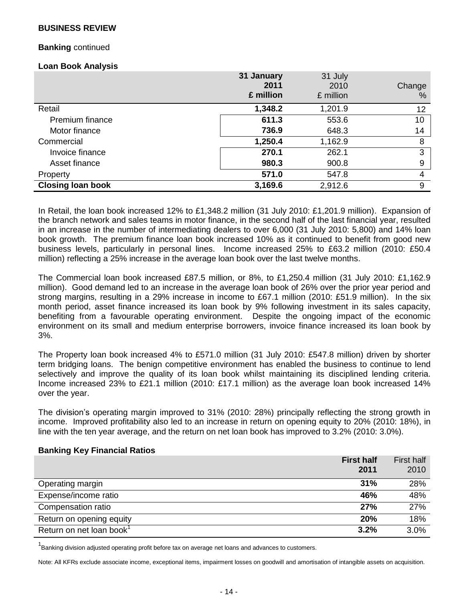## **Banking** continued

#### **Loan Book Analysis**

|                          | 31 January<br>2011<br>£ million | 31 July<br>2010<br>£ million | Change<br>$\%$ |
|--------------------------|---------------------------------|------------------------------|----------------|
| Retail                   | 1,348.2                         | 1,201.9                      | 12             |
| Premium finance          | 611.3                           | 553.6                        | 10             |
| Motor finance            | 736.9                           | 648.3                        | 14             |
| Commercial               | 1,250.4                         | 1,162.9                      | 8              |
| Invoice finance          | 270.1                           | 262.1                        | 3              |
| Asset finance            | 980.3                           | 900.8                        | 9              |
| Property                 | 571.0                           | 547.8                        | 4              |
| <b>Closing loan book</b> | 3,169.6                         | 2,912.6                      | 9              |

In Retail, the loan book increased 12% to £1,348.2 million (31 July 2010: £1,201.9 million). Expansion of the branch network and sales teams in motor finance, in the second half of the last financial year, resulted in an increase in the number of intermediating dealers to over 6,000 (31 July 2010: 5,800) and 14% loan book growth. The premium finance loan book increased 10% as it continued to benefit from good new business levels, particularly in personal lines. Income increased 25% to £63.2 million (2010: £50.4 million) reflecting a 25% increase in the average loan book over the last twelve months.

The Commercial loan book increased £87.5 million, or 8%, to £1,250.4 million (31 July 2010: £1,162.9 million). Good demand led to an increase in the average loan book of 26% over the prior year period and strong margins, resulting in a 29% increase in income to £67.1 million (2010: £51.9 million). In the six month period, asset finance increased its loan book by 9% following investment in its sales capacity, benefiting from a favourable operating environment. Despite the ongoing impact of the economic environment on its small and medium enterprise borrowers, invoice finance increased its loan book by 3%.

The Property loan book increased 4% to £571.0 million (31 July 2010: £547.8 million) driven by shorter term bridging loans. The benign competitive environment has enabled the business to continue to lend selectively and improve the quality of its loan book whilst maintaining its disciplined lending criteria. Income increased 23% to £21.1 million (2010: £17.1 million) as the average loan book increased 14% over the year.

The division's operating margin improved to 31% (2010: 28%) principally reflecting the strong growth in income. Improved profitability also led to an increase in return on opening equity to 20% (2010: 18%), in line with the ten year average, and the return on net loan book has improved to 3.2% (2010: 3.0%).

#### **Banking Key Financial Ratios**

|                                      | <b>First half</b><br>2011 | <b>First half</b><br>2010 |
|--------------------------------------|---------------------------|---------------------------|
| Operating margin                     | 31%                       | 28%                       |
| Expense/income ratio                 | 46%                       | 48%                       |
| Compensation ratio                   | 27%                       | 27%                       |
| Return on opening equity             | 20%                       | 18%                       |
| Return on net loan book <sup>1</sup> | 3.2%                      | 3.0%                      |

<sup>1</sup> Banking division adjusted operating profit before tax on average net loans and advances to customers.

Note: All KFRs exclude associate income, exceptional items, impairment losses on goodwill and amortisation of intangible assets on acquisition.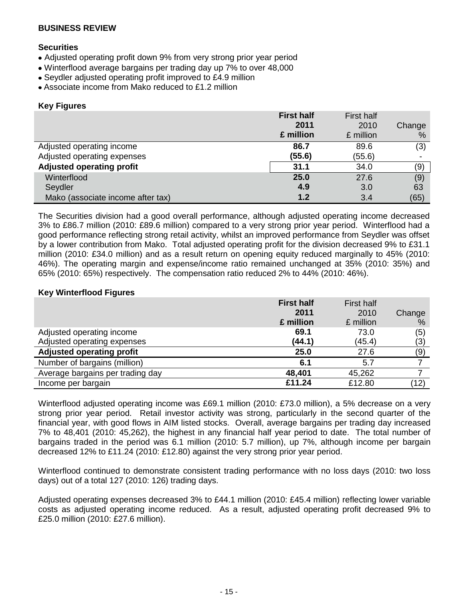## **Securities**

- Adjusted operating profit down 9% from very strong prior year period
- Winterflood average bargains per trading day up 7% to over 48,000
- Seydler adjusted operating profit improved to £4.9 million
- Associate income from Mako reduced to £1.2 million

#### **Key Figures**

|                                   | <b>First half</b> | <b>First half</b> |        |
|-----------------------------------|-------------------|-------------------|--------|
|                                   | 2011              | 2010              | Change |
|                                   | £ million         | £ million         | %      |
| Adjusted operating income         | 86.7              | 89.6              | (3)    |
| Adjusted operating expenses       | (55.6)            | (55.6)            |        |
| <b>Adjusted operating profit</b>  | 31.1              | 34.0              | (9)    |
| Winterflood                       | 25.0              | 27.6              | (9)    |
| Seydler                           | 4.9               | 3.0               | 63     |
| Mako (associate income after tax) | 1.2               | 3.4               | (65)   |

The Securities division had a good overall performance, although adjusted operating income decreased 3% to £86.7 million (2010: £89.6 million) compared to a very strong prior year period. Winterflood had a good performance reflecting strong retail activity, whilst an improved performance from Seydler was offset by a lower contribution from Mako. Total adjusted operating profit for the division decreased 9% to £31.1 million (2010: £34.0 million) and as a result return on opening equity reduced marginally to 45% (2010: 46%). The operating margin and expense/income ratio remained unchanged at 35% (2010: 35%) and 65% (2010: 65%) respectively. The compensation ratio reduced 2% to 44% (2010: 46%).

## **Key Winterflood Figures**

|                                  | <b>First half</b> | <b>First half</b> |        |
|----------------------------------|-------------------|-------------------|--------|
|                                  | 2011              | 2010              | Change |
|                                  | £ million         | £ million         | %      |
| Adjusted operating income        | 69.1              | 73.0              | (5)    |
| Adjusted operating expenses      | (44.1)            | (45.4)            | (3)    |
| <b>Adjusted operating profit</b> | 25.0              | 27.6              | (9)    |
| Number of bargains (million)     | 6.1               | 5.7               |        |
| Average bargains per trading day | 48,401            | 45,262            |        |
| Income per bargain               | £11.24            | £12.80            | (12)   |

Winterflood adjusted operating income was £69.1 million (2010: £73.0 million), a 5% decrease on a very strong prior year period. Retail investor activity was strong, particularly in the second quarter of the financial year, with good flows in AIM listed stocks. Overall, average bargains per trading day increased 7% to 48,401 (2010: 45,262), the highest in any financial half year period to date. The total number of bargains traded in the period was 6.1 million (2010: 5.7 million), up 7%, although income per bargain decreased 12% to £11.24 (2010: £12.80) against the very strong prior year period.

Winterflood continued to demonstrate consistent trading performance with no loss days (2010: two loss days) out of a total 127 (2010: 126) trading days.

Adjusted operating expenses decreased 3% to £44.1 million (2010: £45.4 million) reflecting lower variable costs as adjusted operating income reduced. As a result, adjusted operating profit decreased 9% to £25.0 million (2010: £27.6 million).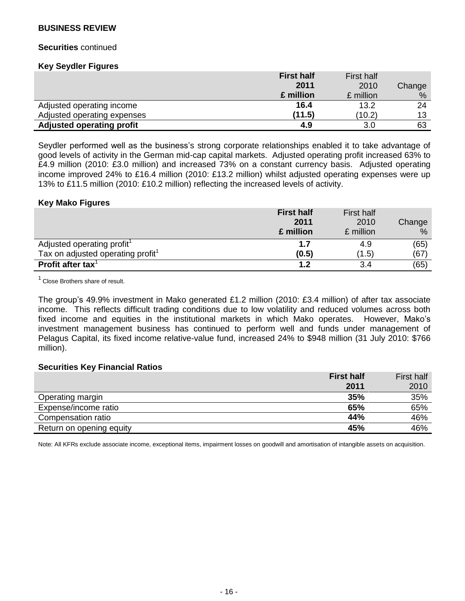#### **Securities** continued

#### **Key Seydler Figures**

|                                  | <b>First half</b> | <b>First half</b> |        |
|----------------------------------|-------------------|-------------------|--------|
|                                  | 2011              | 2010              | Change |
|                                  | £ million         | £ million         | %      |
| Adjusted operating income        | 16.4              | 13.2              | 24     |
| Adjusted operating expenses      | (11.5)            | (10.2)            | 13     |
| <b>Adjusted operating profit</b> | 4.9               | 3.0               | 63     |

Seydler performed well as the business's strong corporate relationships enabled it to take advantage of good levels of activity in the German mid-cap capital markets. Adjusted operating profit increased 63% to £4.9 million (2010: £3.0 million) and increased 73% on a constant currency basis. Adjusted operating income improved 24% to £16.4 million (2010: £13.2 million) whilst adjusted operating expenses were up 13% to £11.5 million (2010: £10.2 million) reflecting the increased levels of activity.

#### **Key Mako Figures**

|                                               | <b>First half</b> | <b>First half</b> |        |
|-----------------------------------------------|-------------------|-------------------|--------|
|                                               | 2011              | 2010              | Change |
|                                               | £ million         | £ million         | %      |
| Adjusted operating profit <sup>1</sup>        | 1.7               | 4.9               | (65)   |
| Tax on adjusted operating profit <sup>1</sup> | (0.5)             | (1.5)             | (67)   |
| Profit after tax $1$                          | 1.2               | 3.4               | (65)   |

 $1$  Close Brothers share of result.

The group's 49.9% investment in Mako generated £1.2 million (2010: £3.4 million) of after tax associate income. This reflects difficult trading conditions due to low volatility and reduced volumes across both fixed income and equities in the institutional markets in which Mako operates. However, Mako's investment management business has continued to perform well and funds under management of Pelagus Capital, its fixed income relative-value fund, increased 24% to \$948 million (31 July 2010: \$766 million).

#### **Securities Key Financial Ratios**

|                          | <b>First half</b> | <b>First half</b> |
|--------------------------|-------------------|-------------------|
|                          | 2011              | 2010              |
| Operating margin         | 35%               | 35%               |
| Expense/income ratio     | 65%               | 65%               |
| Compensation ratio       | 44%               | 46%               |
| Return on opening equity | 45%               | 46%               |

Note: All KFRs exclude associate income, exceptional items, impairment losses on goodwill and amortisation of intangible assets on acquisition.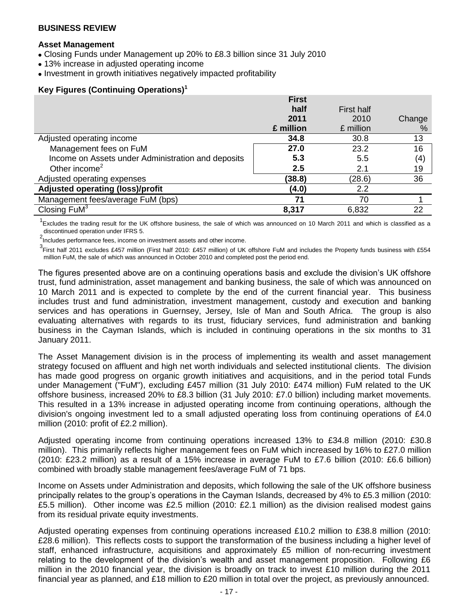#### **Asset Management**

- Closing Funds under Management up 20% to £8.3 billion since 31 July 2010
- 13% increase in adjusted operating income
- Investment in growth initiatives negatively impacted profitability

## **Key Figures (Continuing Operations)<sup>1</sup>**

|                                                    | <b>First</b> |                   |        |
|----------------------------------------------------|--------------|-------------------|--------|
|                                                    | half         | <b>First half</b> |        |
|                                                    | 2011         | 2010              | Change |
|                                                    | £ million    | £ million         | %      |
| Adjusted operating income                          | 34.8         | 30.8              | 13     |
| Management fees on FuM                             | 27.0         | 23.2              | 16     |
| Income on Assets under Administration and deposits | 5.3          | 5.5               | (4)    |
| Other income <sup>2</sup>                          | 2.5          | 2.1               | 19     |
| Adjusted operating expenses                        | (38.8)       | (28.6)            | 36     |
| Adjusted operating (loss)/profit                   | (4.0)        | 2.2               |        |
| Management fees/average FuM (bps)                  | 71           | 70                |        |
| Closing $FuM3$                                     | 8,317        | 6,832             | 22     |

 $1$ Excludes the trading result for the UK offshore business, the sale of which was announced on 10 March 2011 and which is classified as a discontinued operation under IFRS 5.

<sup>2</sup>Includes performance fees, income on investment assets and other income.

<sup>3</sup> First half 2011 excludes £457 million (First half 2010: £457 million) of UK offshore FuM and includes the Property funds business with £554 million FuM, the sale of which was announced in October 2010 and completed post the period end.

The figures presented above are on a continuing operations basis and exclude the division's UK offshore trust, fund administration, asset management and banking business, the sale of which was announced on 10 March 2011 and is expected to complete by the end of the current financial year. This business includes trust and fund administration, investment management, custody and execution and banking services and has operations in Guernsey, Jersey, Isle of Man and South Africa. The group is also evaluating alternatives with regards to its trust, fiduciary services, fund administration and banking business in the Cayman Islands, which is included in continuing operations in the six months to 31 January 2011.

The Asset Management division is in the process of implementing its wealth and asset management strategy focused on affluent and high net worth individuals and selected institutional clients. The division has made good progress on organic growth initiatives and acquisitions, and in the period total Funds under Management ("FuM"), excluding £457 million (31 July 2010: £474 million) FuM related to the UK offshore business, increased 20% to £8.3 billion (31 July 2010: £7.0 billion) including market movements. This resulted in a 13% increase in adjusted operating income from continuing operations, although the division's ongoing investment led to a small adjusted operating loss from continuing operations of £4.0 million (2010: profit of £2.2 million).

Adjusted operating income from continuing operations increased 13% to £34.8 million (2010: £30.8 million). This primarily reflects higher management fees on FuM which increased by 16% to £27.0 million (2010: £23.2 million) as a result of a 15% increase in average FuM to £7.6 billion (2010: £6.6 billion) combined with broadly stable management fees/average FuM of 71 bps.

Income on Assets under Administration and deposits, which following the sale of the UK offshore business principally relates to the group's operations in the Cayman Islands, decreased by 4% to £5.3 million (2010: £5.5 million). Other income was £2.5 million (2010: £2.1 million) as the division realised modest gains from its residual private equity investments.

Adjusted operating expenses from continuing operations increased £10.2 million to £38.8 million (2010: £28.6 million). This reflects costs to support the transformation of the business including a higher level of staff, enhanced infrastructure, acquisitions and approximately £5 million of non-recurring investment relating to the development of the division's wealth and asset management proposition. Following £6 million in the 2010 financial year, the division is broadly on track to invest £10 million during the 2011 financial year as planned, and £18 million to £20 million in total over the project, as previously announced.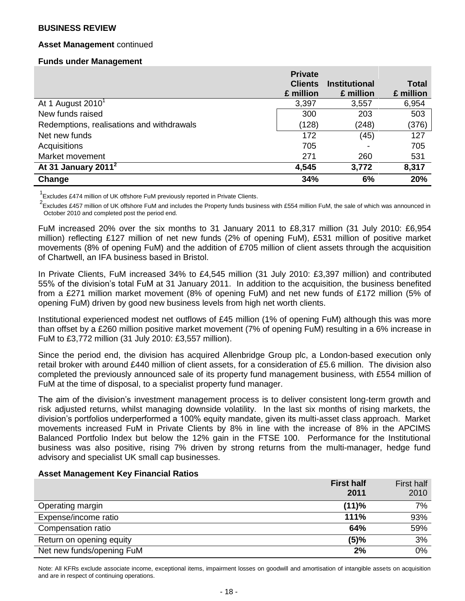## **Asset Management** continued

#### **Funds under Management**

|                                           | <b>Private</b> |                          |              |
|-------------------------------------------|----------------|--------------------------|--------------|
|                                           | <b>Clients</b> | <b>Institutional</b>     | <b>Total</b> |
|                                           | £ million      | £ million                | £ million    |
| At 1 August $2010^1$                      | 3,397          | 3,557                    | 6,954        |
| New funds raised                          | 300            | 203                      | 503          |
| Redemptions, realisations and withdrawals | (128)          | (248)                    | (376)        |
| Net new funds                             | 172            | (45)                     | 127          |
| Acquisitions                              | 705            | $\overline{\phantom{a}}$ | 705          |
| Market movement                           | 271            | 260                      | 531          |
| At 31 January 2011 $^2$                   | 4,545          | 3,772                    | 8,317        |
| Change                                    | 34%            | 6%                       | 20%          |

<sup>1</sup> Excludes £474 million of UK offshore FuM previously reported in Private Clients.

 $^2$ Excludes £457 million of UK offshore FuM and includes the Property funds business with £554 million FuM, the sale of which was announced in October 2010 and completed post the period end.

FuM increased 20% over the six months to 31 January 2011 to £8,317 million (31 July 2010: £6,954 million) reflecting £127 million of net new funds (2% of opening FuM), £531 million of positive market movements (8% of opening FuM) and the addition of £705 million of client assets through the acquisition of Chartwell, an IFA business based in Bristol.

In Private Clients, FuM increased 34% to £4,545 million (31 July 2010: £3,397 million) and contributed 55% of the division's total FuM at 31 January 2011. In addition to the acquisition, the business benefited from a £271 million market movement (8% of opening FuM) and net new funds of £172 million (5% of opening FuM) driven by good new business levels from high net worth clients.

Institutional experienced modest net outflows of £45 million (1% of opening FuM) although this was more than offset by a £260 million positive market movement (7% of opening FuM) resulting in a 6% increase in FuM to £3,772 million (31 July 2010: £3,557 million).

Since the period end, the division has acquired Allenbridge Group plc, a London-based execution only retail broker with around £440 million of client assets, for a consideration of £5.6 million. The division also completed the previously announced sale of its property fund management business, with £554 million of FuM at the time of disposal, to a specialist property fund manager.

The aim of the division's investment management process is to deliver consistent long-term growth and risk adjusted returns, whilst managing downside volatility. In the last six months of rising markets, the division's portfolios underperformed a 100% equity mandate, given its multi-asset class approach. Market movements increased FuM in Private Clients by 8% in line with the increase of 8% in the APCIMS Balanced Portfolio Index but below the 12% gain in the FTSE 100. Performance for the Institutional business was also positive, rising 7% driven by strong returns from the multi-manager, hedge fund advisory and specialist UK small cap businesses.

#### **Asset Management Key Financial Ratios**

|                           | <b>First half</b> | First half |
|---------------------------|-------------------|------------|
|                           | 2011              | 2010       |
| Operating margin          | (11)%             | 7%         |
| Expense/income ratio      | 111%              | 93%        |
| Compensation ratio        | 64%               | 59%        |
| Return on opening equity  | (5)%              | 3%         |
| Net new funds/opening FuM | 2%                | 0%         |

Note: All KFRs exclude associate income, exceptional items, impairment losses on goodwill and amortisation of intangible assets on acquisition and are in respect of continuing operations.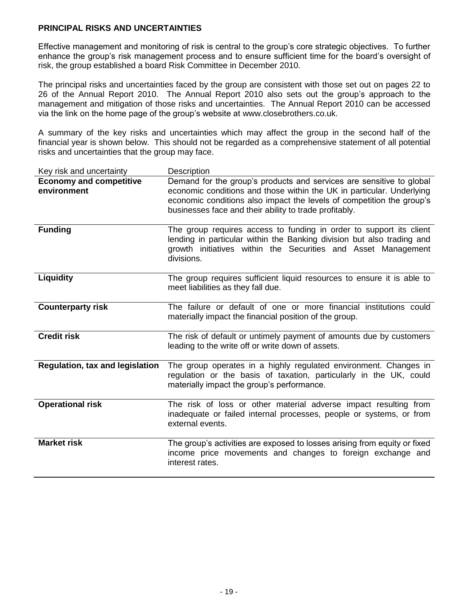## **PRINCIPAL RISKS AND UNCERTAINTIES**

Effective management and monitoring of risk is central to the group's core strategic objectives. To further enhance the group's risk management process and to ensure sufficient time for the board's oversight of risk, the group established a board Risk Committee in December 2010.

The principal risks and uncertainties faced by the group are consistent with those set out on pages 22 to 26 of the Annual Report 2010. The Annual Report 2010 also sets out the group's approach to the management and mitigation of those risks and uncertainties. The Annual Report 2010 can be accessed via the link on the home page of the group's website at [www.closebrothers.co.uk.](http://www.closebrothers.co.uk/)

A summary of the key risks and uncertainties which may affect the group in the second half of the financial year is shown below. This should not be regarded as a comprehensive statement of all potential risks and uncertainties that the group may face.

| Key risk and uncertainty                      | Description                                                                                                                                                                                                                                                                      |
|-----------------------------------------------|----------------------------------------------------------------------------------------------------------------------------------------------------------------------------------------------------------------------------------------------------------------------------------|
| <b>Economy and competitive</b><br>environment | Demand for the group's products and services are sensitive to global<br>economic conditions and those within the UK in particular. Underlying<br>economic conditions also impact the levels of competition the group's<br>businesses face and their ability to trade profitably. |
| <b>Funding</b>                                | The group requires access to funding in order to support its client<br>lending in particular within the Banking division but also trading and<br>growth initiatives within the Securities and Asset Management<br>divisions.                                                     |
| Liquidity                                     | The group requires sufficient liquid resources to ensure it is able to<br>meet liabilities as they fall due.                                                                                                                                                                     |
| <b>Counterparty risk</b>                      | The failure or default of one or more financial institutions could<br>materially impact the financial position of the group.                                                                                                                                                     |
| <b>Credit risk</b>                            | The risk of default or untimely payment of amounts due by customers<br>leading to the write off or write down of assets.                                                                                                                                                         |
| <b>Regulation, tax and legislation</b>        | The group operates in a highly regulated environment. Changes in<br>regulation or the basis of taxation, particularly in the UK, could<br>materially impact the group's performance.                                                                                             |
| <b>Operational risk</b>                       | The risk of loss or other material adverse impact resulting from<br>inadequate or failed internal processes, people or systems, or from<br>external events.                                                                                                                      |
| <b>Market risk</b>                            | The group's activities are exposed to losses arising from equity or fixed<br>income price movements and changes to foreign exchange and<br>interest rates.                                                                                                                       |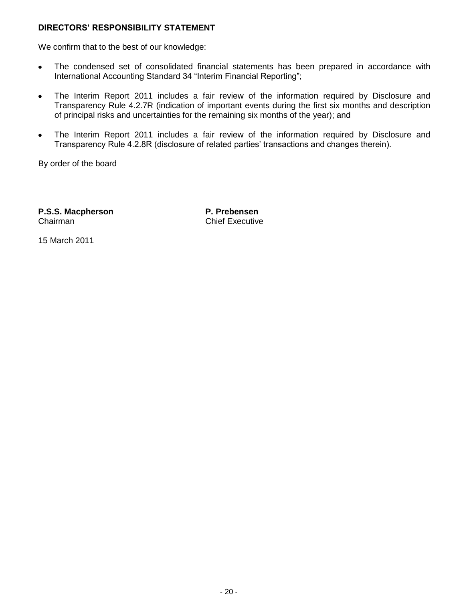## **DIRECTORS' RESPONSIBILITY STATEMENT**

We confirm that to the best of our knowledge:

- The condensed set of consolidated financial statements has been prepared in accordance with  $\bullet$ International Accounting Standard 34 "Interim Financial Reporting";
- The Interim Report 2011 includes a fair review of the information required by Disclosure and  $\bullet$ Transparency Rule 4.2.7R (indication of important events during the first six months and description of principal risks and uncertainties for the remaining six months of the year); and
- The Interim Report 2011 includes a fair review of the information required by Disclosure and  $\bullet$ Transparency Rule 4.2.8R (disclosure of related parties' transactions and changes therein).

By order of the board

**P.S.S. Macpherson P. Prebensen** Chairman Chairman Chief Executive

15 March 2011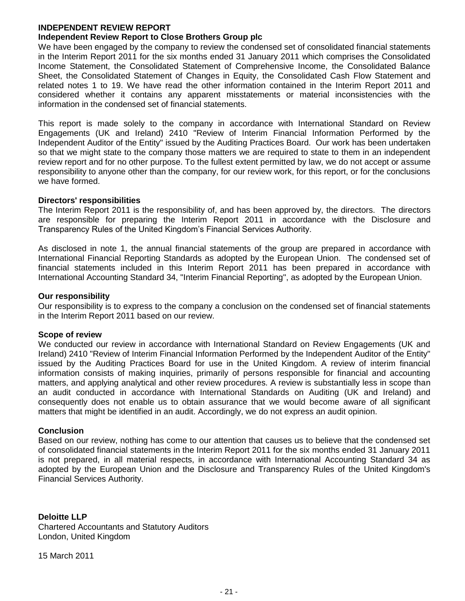#### **INDEPENDENT REVIEW REPORT Independent Review Report to Close Brothers Group plc**

We have been engaged by the company to review the condensed set of consolidated financial statements in the Interim Report 2011 for the six months ended 31 January 2011 which comprises the Consolidated Income Statement, the Consolidated Statement of Comprehensive Income, the Consolidated Balance Sheet, the Consolidated Statement of Changes in Equity, the Consolidated Cash Flow Statement and related notes 1 to 19. We have read the other information contained in the Interim Report 2011 and considered whether it contains any apparent misstatements or material inconsistencies with the information in the condensed set of financial statements.

This report is made solely to the company in accordance with International Standard on Review Engagements (UK and Ireland) 2410 "Review of Interim Financial Information Performed by the Independent Auditor of the Entity" issued by the Auditing Practices Board. Our work has been undertaken so that we might state to the company those matters we are required to state to them in an independent review report and for no other purpose. To the fullest extent permitted by law, we do not accept or assume responsibility to anyone other than the company, for our review work, for this report, or for the conclusions we have formed.

## **Directors' responsibilities**

The Interim Report 2011 is the responsibility of, and has been approved by, the directors. The directors are responsible for preparing the Interim Report 2011 in accordance with the Disclosure and Transparency Rules of the United Kingdom's Financial Services Authority.

As disclosed in note 1, the annual financial statements of the group are prepared in accordance with International Financial Reporting Standards as adopted by the European Union. The condensed set of financial statements included in this Interim Report 2011 has been prepared in accordance with International Accounting Standard 34, "Interim Financial Reporting", as adopted by the European Union.

## **Our responsibility**

Our responsibility is to express to the company a conclusion on the condensed set of financial statements in the Interim Report 2011 based on our review.

#### **Scope of review**

We conducted our review in accordance with International Standard on Review Engagements (UK and Ireland) 2410 "Review of Interim Financial Information Performed by the Independent Auditor of the Entity" issued by the Auditing Practices Board for use in the United Kingdom. A review of interim financial information consists of making inquiries, primarily of persons responsible for financial and accounting matters, and applying analytical and other review procedures. A review is substantially less in scope than an audit conducted in accordance with International Standards on Auditing (UK and Ireland) and consequently does not enable us to obtain assurance that we would become aware of all significant matters that might be identified in an audit. Accordingly, we do not express an audit opinion.

## **Conclusion**

Based on our review, nothing has come to our attention that causes us to believe that the condensed set of consolidated financial statements in the Interim Report 2011 for the six months ended 31 January 2011 is not prepared, in all material respects, in accordance with International Accounting Standard 34 as adopted by the European Union and the Disclosure and Transparency Rules of the United Kingdom's Financial Services Authority.

## **Deloitte LLP**

Chartered Accountants and Statutory Auditors London, United Kingdom

15 March 2011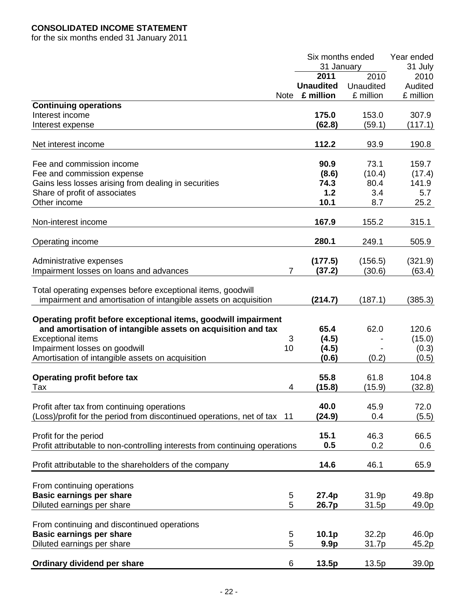# **CONSOLIDATED INCOME STATEMENT**

for the six months ended 31 January 2011

|                                                                                                                                                            |                | Six months ended<br>31 January |           | Year ended<br>31 July |
|------------------------------------------------------------------------------------------------------------------------------------------------------------|----------------|--------------------------------|-----------|-----------------------|
|                                                                                                                                                            |                | 2011                           | 2010      | 2010                  |
|                                                                                                                                                            |                | <b>Unaudited</b>               | Unaudited | Audited               |
|                                                                                                                                                            | Note           | £ million                      | £ million | £ million             |
|                                                                                                                                                            |                |                                |           |                       |
| <b>Continuing operations</b>                                                                                                                               |                |                                |           |                       |
| Interest income                                                                                                                                            |                | 175.0                          | 153.0     | 307.9                 |
| Interest expense                                                                                                                                           |                | (62.8)                         | (59.1)    | (117.1)               |
| Net interest income                                                                                                                                        |                | 112.2                          | 93.9      | 190.8                 |
| Fee and commission income                                                                                                                                  |                | 90.9                           | 73.1      | 159.7                 |
| Fee and commission expense                                                                                                                                 |                | (8.6)                          | (10.4)    | (17.4)                |
| Gains less losses arising from dealing in securities                                                                                                       |                | 74.3                           | 80.4      | 141.9                 |
|                                                                                                                                                            |                | 1.2                            |           |                       |
| Share of profit of associates                                                                                                                              |                |                                | 3.4       | 5.7                   |
| Other income                                                                                                                                               |                | 10.1                           | 8.7       | 25.2                  |
| Non-interest income                                                                                                                                        |                | 167.9                          | 155.2     | 315.1                 |
| Operating income                                                                                                                                           |                | 280.1                          | 249.1     | 505.9                 |
|                                                                                                                                                            |                |                                |           |                       |
| Administrative expenses                                                                                                                                    |                | (177.5)                        | (156.5)   | (321.9)               |
| Impairment losses on loans and advances                                                                                                                    | $\overline{7}$ | (37.2)                         | (30.6)    | (63.4)                |
| Total operating expenses before exceptional items, goodwill                                                                                                |                |                                |           |                       |
| impairment and amortisation of intangible assets on acquisition                                                                                            |                | (214.7)                        | (187.1)   | (385.3)               |
| Operating profit before exceptional items, goodwill impairment<br>and amortisation of intangible assets on acquisition and tax<br><b>Exceptional items</b> | 3              | 65.4<br>(4.5)                  | 62.0      | 120.6<br>(15.0)       |
| Impairment losses on goodwill                                                                                                                              | 10             | (4.5)                          |           | (0.3)                 |
| Amortisation of intangible assets on acquisition                                                                                                           |                | (0.6)                          | (0.2)     | (0.5)                 |
|                                                                                                                                                            |                |                                |           |                       |
| <b>Operating profit before tax</b>                                                                                                                         |                | 55.8                           | 61.8      | 104.8                 |
| Tax                                                                                                                                                        | 4              | (15.8)                         | (15.9)    | (32.8)                |
| Profit after tax from continuing operations                                                                                                                |                | 40.0                           | 45.9      | 72.0                  |
| (Loss)/profit for the period from discontinued operations, net of tax 11                                                                                   |                | (24.9)                         | 0.4       | (5.5)                 |
|                                                                                                                                                            |                |                                |           |                       |
| Profit for the period                                                                                                                                      |                | 15.1                           | 46.3      | 66.5                  |
| Profit attributable to non-controlling interests from continuing operations                                                                                |                | 0.5                            | 0.2       | 0.6                   |
|                                                                                                                                                            |                |                                |           |                       |
| Profit attributable to the shareholders of the company                                                                                                     |                | 14.6                           | 46.1      | 65.9                  |
|                                                                                                                                                            |                |                                |           |                       |
| From continuing operations                                                                                                                                 |                |                                |           |                       |
| <b>Basic earnings per share</b>                                                                                                                            | 5              | 27.4p                          | 31.9p     | 49.8p                 |
| Diluted earnings per share                                                                                                                                 | 5              | 26.7p                          | 31.5p     | 49.0p                 |
| From continuing and discontinued operations                                                                                                                |                |                                |           |                       |
|                                                                                                                                                            |                |                                |           |                       |
| <b>Basic earnings per share</b>                                                                                                                            | 5              | 10.1 <sub>p</sub>              | 32.2p     | 46.0p                 |
| Diluted earnings per share                                                                                                                                 | 5              | 9.9 <sub>p</sub>               | 31.7p     | 45.2p                 |
| Ordinary dividend per share                                                                                                                                | 6              | 13.5p                          | 13.5p     | 39.0p                 |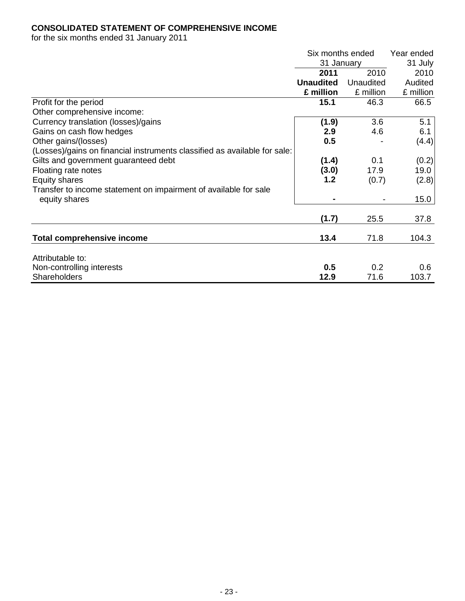# **CONSOLIDATED STATEMENT OF COMPREHENSIVE INCOME**

for the six months ended 31 January 2011

|                                                                           | Six months ended |           | Year ended |
|---------------------------------------------------------------------------|------------------|-----------|------------|
|                                                                           | 31 January       |           | 31 July    |
|                                                                           | 2011             | 2010      | 2010       |
|                                                                           | <b>Unaudited</b> | Unaudited | Audited    |
|                                                                           | £ million        | £ million | £ million  |
| Profit for the period                                                     | 15.1             | 46.3      | 66.5       |
| Other comprehensive income:                                               |                  |           |            |
| Currency translation (losses)/gains                                       | (1.9)            | 3.6       | 5.1        |
| Gains on cash flow hedges                                                 | 2.9              | 4.6       | 6.1        |
| Other gains/(losses)                                                      | 0.5              |           | (4.4)      |
| (Losses)/gains on financial instruments classified as available for sale: |                  |           |            |
| Gilts and government guaranteed debt                                      | (1.4)            | 0.1       | (0.2)      |
| Floating rate notes                                                       | (3.0)            | 17.9      | 19.0       |
| Equity shares                                                             | 1.2              | (0.7)     | (2.8)      |
| Transfer to income statement on impairment of available for sale          |                  |           |            |
| equity shares                                                             |                  |           | 15.0       |
|                                                                           |                  |           |            |
|                                                                           | (1.7)            | 25.5      | 37.8       |
|                                                                           |                  |           |            |
| <b>Total comprehensive income</b>                                         | 13.4             | 71.8      | 104.3      |
|                                                                           |                  |           |            |
| Attributable to:                                                          |                  |           |            |
| Non-controlling interests                                                 | 0.5              | 0.2       | 0.6        |
| <b>Shareholders</b>                                                       | 12.9             | 71.6      | 103.7      |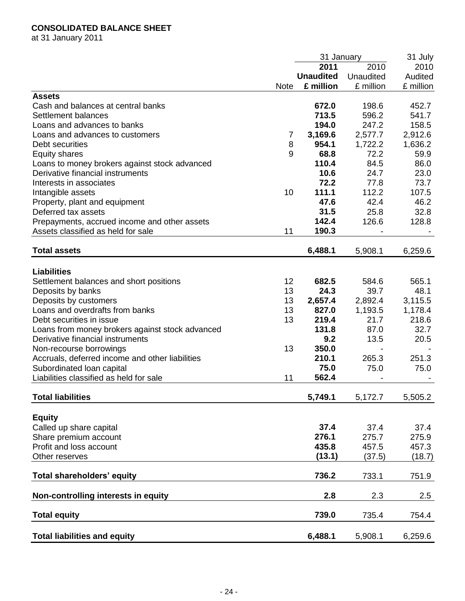# **CONSOLIDATED BALANCE SHEET**

at 31 January 2011

|                                                 | 31 January  |                  |           | 31 July   |
|-------------------------------------------------|-------------|------------------|-----------|-----------|
|                                                 |             | 2011             | 2010      | 2010      |
|                                                 |             | <b>Unaudited</b> | Unaudited | Audited   |
|                                                 | <b>Note</b> | £ million        | £ million | £ million |
| <b>Assets</b>                                   |             |                  |           |           |
| Cash and balances at central banks              |             | 672.0            | 198.6     | 452.7     |
| Settlement balances                             |             | 713.5            | 596.2     | 541.7     |
| Loans and advances to banks                     |             | 194.0            | 247.2     | 158.5     |
| Loans and advances to customers                 | 7           | 3,169.6          | 2,577.7   | 2,912.6   |
| Debt securities                                 | 8           | 954.1            | 1,722.2   | 1,636.2   |
| <b>Equity shares</b>                            | 9           | 68.8             | 72.2      | 59.9      |
| Loans to money brokers against stock advanced   |             | 110.4            | 84.5      | 86.0      |
| Derivative financial instruments                |             | 10.6             | 24.7      | 23.0      |
| Interests in associates                         |             | 72.2             | 77.8      | 73.7      |
| Intangible assets                               | 10          | 111.1            | 112.2     | 107.5     |
| Property, plant and equipment                   |             | 47.6             | 42.4      | 46.2      |
| Deferred tax assets                             |             | 31.5             | 25.8      | 32.8      |
| Prepayments, accrued income and other assets    |             | 142.4            | 126.6     | 128.8     |
| Assets classified as held for sale              | 11          | 190.3            |           |           |
|                                                 |             |                  |           |           |
| <b>Total assets</b>                             |             | 6,488.1          | 5,908.1   | 6,259.6   |
| <b>Liabilities</b>                              |             |                  |           |           |
|                                                 | 12          | 682.5            | 584.6     | 565.1     |
| Settlement balances and short positions         |             | 24.3             |           |           |
| Deposits by banks                               | 13          |                  | 39.7      | 48.1      |
| Deposits by customers                           | 13          | 2,657.4          | 2,892.4   | 3,115.5   |
| Loans and overdrafts from banks                 | 13          | 827.0            | 1,193.5   | 1,178.4   |
| Debt securities in issue                        | 13          | 219.4            | 21.7      | 218.6     |
| Loans from money brokers against stock advanced |             | 131.8            | 87.0      | 32.7      |
| Derivative financial instruments                |             | 9.2              | 13.5      | 20.5      |
| Non-recourse borrowings                         | 13          | 350.0            |           |           |
| Accruals, deferred income and other liabilities |             | 210.1            | 265.3     | 251.3     |
| Subordinated loan capital                       |             | 75.0             | 75.0      | 75.0      |
| Liabilities classified as held for sale         | 11          | 562.4            |           |           |
| <b>Total liabilities</b>                        |             | 5,749.1          | 5,172.7   | 5,505.2   |
|                                                 |             |                  |           |           |
| <b>Equity</b>                                   |             |                  |           |           |
| Called up share capital                         |             | 37.4             | 37.4      | 37.4      |
| Share premium account                           |             | 276.1            | 275.7     | 275.9     |
| Profit and loss account                         |             | 435.8            | 457.5     | 457.3     |
| Other reserves                                  |             | (13.1)           | (37.5)    | (18.7)    |
| Total shareholders' equity                      |             | 736.2            | 733.1     | 751.9     |
| Non-controlling interests in equity             |             | 2.8              | 2.3       | 2.5       |
| <b>Total equity</b>                             |             | 739.0            | 735.4     | 754.4     |
| <b>Total liabilities and equity</b>             |             | 6,488.1          | 5,908.1   | 6,259.6   |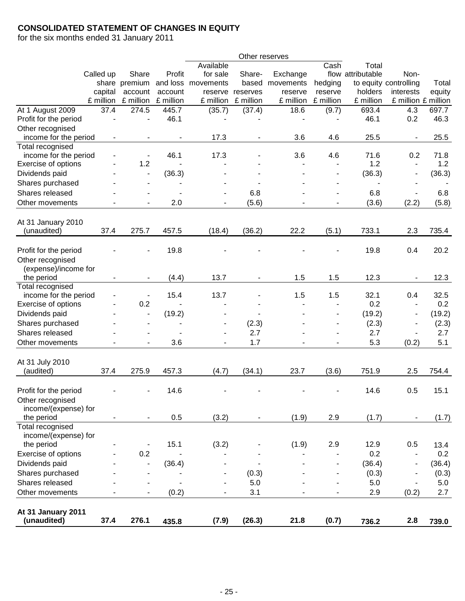# **CONSOLIDATED STATEMENT OF CHANGES IN EQUITY**

for the six months ended 31 January 2011

|                       |           |                          |                          |                          | Other reserves |           |                          |                   |                          |        |
|-----------------------|-----------|--------------------------|--------------------------|--------------------------|----------------|-----------|--------------------------|-------------------|--------------------------|--------|
|                       |           |                          |                          | Available                |                |           | Cash                     | Total             |                          |        |
|                       | Called up | Share                    | Profit                   | for sale                 | Share-         | Exchange  |                          | flow attributable | Non-                     |        |
|                       |           | share premium            | and loss                 | movements                | based          | movements | hedging                  |                   | to equity controlling    | Total  |
|                       | capital   | account                  | account                  | reserve                  | reserves       | reserve   | reserve                  | holders           | interests                | equity |
|                       | £ million | £ million                | £ million                | £ million                | £ million      | £ million | £ million                | £ million         | £ million £ million      |        |
| At 1 August 2009      | 37.4      | 274.5                    | 445.7                    | (35.7)                   | (37.4)         | 18.6      | (9.7)                    | 693.4             | 4.3                      | 697.7  |
| Profit for the period |           | $\overline{\phantom{a}}$ | 46.1                     |                          |                |           |                          | 46.1              | 0.2                      | 46.3   |
| Other recognised      |           |                          |                          |                          |                |           |                          |                   |                          |        |
| income for the period |           |                          |                          | 17.3                     |                | 3.6       | 4.6                      | 25.5              |                          | 25.5   |
| Total recognised      |           |                          |                          |                          |                |           |                          |                   |                          |        |
| income for the period |           | $\overline{\phantom{a}}$ | 46.1                     | 17.3                     |                | 3.6       | 4.6                      | 71.6              | 0.2                      | 71.8   |
| Exercise of options   |           | 1.2                      |                          |                          |                |           | $\overline{\phantom{a}}$ | 1.2               | $\blacksquare$           | 1.2    |
| Dividends paid        |           |                          | (36.3)                   |                          |                |           |                          | (36.3)            |                          | (36.3) |
| Shares purchased      |           |                          |                          |                          |                |           |                          |                   |                          |        |
| Shares released       |           |                          |                          |                          | 6.8            |           |                          | 6.8               |                          | 6.8    |
| Other movements       |           |                          | 2.0                      |                          | (5.6)          |           |                          | (3.6)             | (2.2)                    | (5.8)  |
|                       |           |                          |                          |                          |                |           |                          |                   |                          |        |
| At 31 January 2010    |           |                          |                          |                          |                |           |                          |                   |                          |        |
| (unaudited)           | 37.4      | 275.7                    | 457.5                    | (18.4)                   | (36.2)         | 22.2      | (5.1)                    | 733.1             | 2.3                      | 735.4  |
|                       |           |                          |                          |                          |                |           |                          |                   |                          |        |
| Profit for the period |           |                          | 19.8                     |                          |                |           |                          | 19.8              | 0.4                      | 20.2   |
| Other recognised      |           |                          |                          |                          |                |           |                          |                   |                          |        |
| (expense)/income for  |           |                          |                          |                          |                |           |                          |                   |                          |        |
| the period            |           | $\blacksquare$           | (4.4)                    | 13.7                     | ۰              | 1.5       | 1.5                      | 12.3              |                          | 12.3   |
| Total recognised      |           |                          |                          |                          |                |           |                          |                   |                          |        |
| income for the period |           |                          | 15.4                     | 13.7                     |                | 1.5       | 1.5                      | 32.1              | 0.4                      | 32.5   |
| Exercise of options   |           | 0.2                      |                          |                          |                |           |                          | 0.2               |                          | 0.2    |
| Dividends paid        |           | $\overline{\phantom{a}}$ | (19.2)                   |                          |                |           |                          | (19.2)            | $\overline{a}$           | (19.2) |
|                       |           |                          |                          |                          |                |           |                          |                   |                          |        |
| Shares purchased      |           | $\overline{\phantom{a}}$ | $\overline{\phantom{a}}$ |                          | (2.3)          |           |                          | (2.3)             | $\overline{a}$           | (2.3)  |
| Shares released       |           |                          |                          |                          | 2.7            |           |                          | 2.7               | $\blacksquare$           | 2.7    |
| Other movements       |           |                          | 3.6                      | $\overline{\phantom{a}}$ | 1.7            |           |                          | 5.3               | (0.2)                    | 5.1    |
|                       |           |                          |                          |                          |                |           |                          |                   |                          |        |
| At 31 July 2010       |           |                          |                          |                          |                |           |                          |                   |                          |        |
| (audited)             | 37.4      | 275.9                    | 457.3                    | (4.7)                    | (34.1)         | 23.7      | (3.6)                    | 751.9             | 2.5                      | 754.4  |
|                       |           |                          |                          |                          |                |           |                          |                   |                          |        |
| Profit for the period |           |                          | 14.6                     |                          |                |           |                          | 14.6              | 0.5                      | 15.1   |
| Other recognised      |           |                          |                          |                          |                |           |                          |                   |                          |        |
| income/(expense) for  |           |                          |                          |                          |                |           |                          |                   |                          |        |
| the period            |           |                          | 0.5                      | (3.2)                    |                | (1.9)     | 2.9                      | (1.7)             |                          | (1.7)  |
| Total recognised      |           |                          |                          |                          |                |           |                          |                   |                          |        |
| income/(expense) for  |           |                          |                          |                          |                |           |                          |                   |                          |        |
| the period            |           |                          | 15.1                     | (3.2)                    |                | (1.9)     | 2.9                      | 12.9              | 0.5                      | 13.4   |
| Exercise of options   |           | 0.2                      |                          |                          |                |           |                          | 0.2               | $\overline{\phantom{a}}$ | 0.2    |
| Dividends paid        |           |                          | (36.4)                   |                          |                |           |                          | (36.4)            | $\overline{\phantom{a}}$ | (36.4) |
| Shares purchased      |           |                          |                          |                          | (0.3)          |           |                          | (0.3)             | $\overline{\phantom{a}}$ | (0.3)  |
| Shares released       |           |                          | $\blacksquare$           |                          | 5.0            |           |                          | 5.0               | $\blacksquare$           | 5.0    |
| Other movements       |           | $\overline{\phantom{a}}$ | (0.2)                    |                          | 3.1            |           | $\blacksquare$           | 2.9               | (0.2)                    | 2.7    |
|                       |           |                          |                          |                          |                |           |                          |                   |                          |        |
| At 31 January 2011    |           |                          |                          |                          |                |           |                          |                   |                          |        |
| (unaudited)           | 37.4      | 276.1                    | 435.8                    | (7.9)                    | (26.3)         | 21.8      | (0.7)                    | 736.2             | 2.8                      | 739.0  |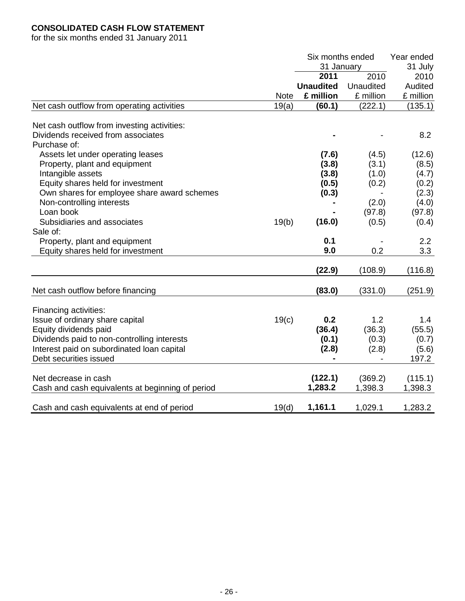# **CONSOLIDATED CASH FLOW STATEMENT**

for the six months ended 31 January 2011

|                                                          |             | Six months ended |           | Year ended |  |
|----------------------------------------------------------|-------------|------------------|-----------|------------|--|
|                                                          |             | 31 January       |           | 31 July    |  |
|                                                          |             | 2011             | 2010      | 2010       |  |
|                                                          |             | <b>Unaudited</b> | Unaudited | Audited    |  |
|                                                          | <b>Note</b> | £ million        | £ million | £ million  |  |
| Net cash outflow from operating activities               | 19(a)       | (60.1)           | (222.1)   | (135.1)    |  |
| Net cash outflow from investing activities:              |             |                  |           |            |  |
| Dividends received from associates<br>Purchase of:       |             |                  |           | 8.2        |  |
| Assets let under operating leases                        |             | (7.6)            | (4.5)     | (12.6)     |  |
| Property, plant and equipment                            |             | (3.8)            | (3.1)     | (8.5)      |  |
| Intangible assets                                        |             | (3.8)            | (1.0)     | (4.7)      |  |
| Equity shares held for investment                        |             | (0.5)            | (0.2)     | (0.2)      |  |
| Own shares for employee share award schemes              |             | (0.3)            |           | (2.3)      |  |
| Non-controlling interests                                |             |                  | (2.0)     | (4.0)      |  |
| Loan book                                                |             |                  | (97.8)    | (97.8)     |  |
| Subsidiaries and associates                              | 19(b)       | (16.0)           | (0.5)     | (0.4)      |  |
| Sale of:                                                 |             |                  |           |            |  |
| Property, plant and equipment                            |             | 0.1              |           | 2.2        |  |
| Equity shares held for investment                        |             | 9.0              | 0.2       | 3.3        |  |
|                                                          |             |                  |           |            |  |
|                                                          |             | (22.9)           | (108.9)   | (116.8)    |  |
| Net cash outflow before financing                        |             | (83.0)           | (331.0)   | (251.9)    |  |
|                                                          |             |                  |           |            |  |
| Financing activities:<br>Issue of ordinary share capital | 19(c)       | 0.2              | 1.2       | 1.4        |  |
| Equity dividends paid                                    |             | (36.4)           | (36.3)    | (55.5)     |  |
| Dividends paid to non-controlling interests              |             | (0.1)            | (0.3)     | (0.7)      |  |
| Interest paid on subordinated loan capital               |             | (2.8)            | (2.8)     | (5.6)      |  |
| Debt securities issued                                   |             | $\blacksquare$   |           | 197.2      |  |
|                                                          |             |                  |           |            |  |
| Net decrease in cash                                     |             | (122.1)          | (369.2)   | (115.1)    |  |
| Cash and cash equivalents at beginning of period         |             | 1,283.2          | 1,398.3   | 1,398.3    |  |
|                                                          |             |                  |           |            |  |
| Cash and cash equivalents at end of period               | 19(d)       | 1,161.1          | 1,029.1   | 1,283.2    |  |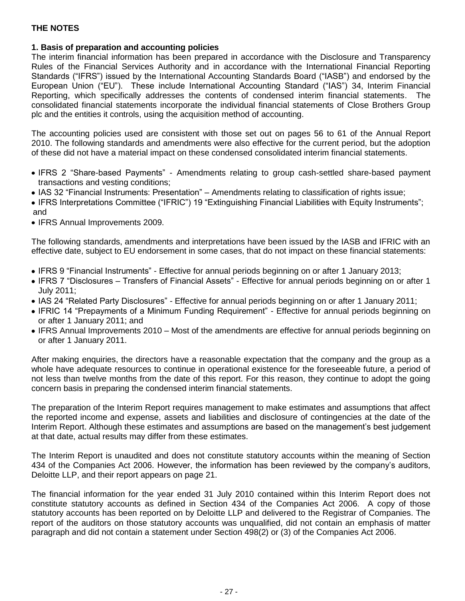## **1. Basis of preparation and accounting policies**

The interim financial information has been prepared in accordance with the Disclosure and Transparency Rules of the Financial Services Authority and in accordance with the International Financial Reporting Standards ("IFRS") issued by the International Accounting Standards Board ("IASB") and endorsed by the European Union ("EU"). These include International Accounting Standard ("IAS") 34, Interim Financial Reporting, which specifically addresses the contents of condensed interim financial statements. The consolidated financial statements incorporate the individual financial statements of Close Brothers Group plc and the entities it controls, using the acquisition method of accounting.

The accounting policies used are consistent with those set out on pages 56 to 61 of the Annual Report 2010. The following standards and amendments were also effective for the current period, but the adoption of these did not have a material impact on these condensed consolidated interim financial statements.

- IFRS 2 "Share-based Payments" Amendments relating to group cash-settled share-based payment transactions and vesting conditions;
- IAS 32 "Financial Instruments: Presentation" Amendments relating to classification of rights issue;
- IFRS Interpretations Committee ("IFRIC") 19 "Extinguishing Financial Liabilities with Equity Instruments"; and
- IFRS Annual Improvements 2009.

The following standards, amendments and interpretations have been issued by the IASB and IFRIC with an effective date, subject to EU endorsement in some cases, that do not impact on these financial statements:

- IFRS 9 "Financial Instruments" Effective for annual periods beginning on or after 1 January 2013;
- IFRS 7 "Disclosures Transfers of Financial Assets" Effective for annual periods beginning on or after 1 July 2011;
- IAS 24 "Related Party Disclosures" Effective for annual periods beginning on or after 1 January 2011;
- IFRIC 14 "Prepayments of a Minimum Funding Requirement" Effective for annual periods beginning on or after 1 January 2011; and
- IFRS Annual Improvements 2010 Most of the amendments are effective for annual periods beginning on or after 1 January 2011.

After making enquiries, the directors have a reasonable expectation that the company and the group as a whole have adequate resources to continue in operational existence for the foreseeable future, a period of not less than twelve months from the date of this report. For this reason, they continue to adopt the going concern basis in preparing the condensed interim financial statements.

The preparation of the Interim Report requires management to make estimates and assumptions that affect the reported income and expense, assets and liabilities and disclosure of contingencies at the date of the Interim Report. Although these estimates and assumptions are based on the management's best judgement at that date, actual results may differ from these estimates.

The Interim Report is unaudited and does not constitute statutory accounts within the meaning of Section 434 of the Companies Act 2006. However, the information has been reviewed by the company's auditors, Deloitte LLP, and their report appears on page 21.

The financial information for the year ended 31 July 2010 contained within this Interim Report does not constitute statutory accounts as defined in Section 434 of the Companies Act 2006. A copy of those statutory accounts has been reported on by Deloitte LLP and delivered to the Registrar of Companies. The report of the auditors on those statutory accounts was unqualified, did not contain an emphasis of matter paragraph and did not contain a statement under Section 498(2) or (3) of the Companies Act 2006.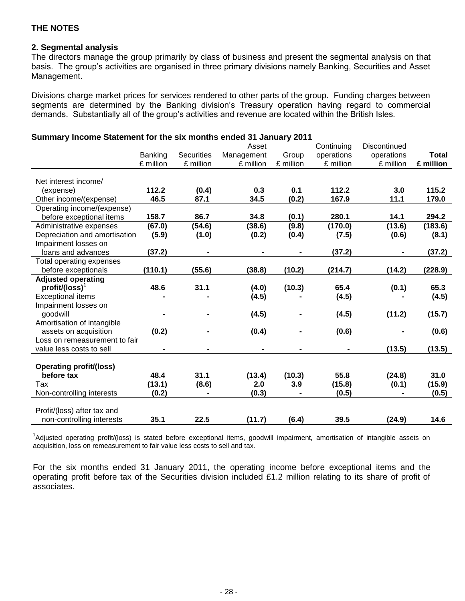## **2. Segmental analysis**

The directors manage the group primarily by class of business and present the segmental analysis on that basis. The group's activities are organised in three primary divisions namely Banking, Securities and Asset Management.

Divisions charge market prices for services rendered to other parts of the group. Funding charges between segments are determined by the Banking division's Treasury operation having regard to commercial demands. Substantially all of the group's activities and revenue are located within the British Isles.

| $\sim$ officially income statement for the SIX months ended 31 January 2011 |           |                   |            |           |                |              |              |
|-----------------------------------------------------------------------------|-----------|-------------------|------------|-----------|----------------|--------------|--------------|
|                                                                             |           |                   | Asset      |           | Continuing     | Discontinued |              |
|                                                                             | Banking   | <b>Securities</b> | Management | Group     | operations     | operations   | <b>Total</b> |
|                                                                             | £ million | £ million         | £ million  | £ million | £ million      | £ million    | £ million    |
|                                                                             |           |                   |            |           |                |              |              |
| Net interest income/                                                        |           |                   |            |           |                |              |              |
| (expense)                                                                   | 112.2     | (0.4)             | 0.3        | 0.1       | 112.2          | 3.0          | 115.2        |
| Other income/(expense)                                                      | 46.5      | 87.1              | 34.5       | (0.2)     | 167.9          | 11.1         | 179.0        |
| Operating income/(expense)                                                  |           |                   |            |           |                |              |              |
| before exceptional items                                                    | 158.7     | 86.7              | 34.8       | (0.1)     | 280.1          | 14.1         | 294.2        |
| Administrative expenses                                                     | (67.0)    | (54.6)            | (38.6)     | (9.8)     | (170.0)        | (13.6)       | (183.6)      |
| Depreciation and amortisation                                               | (5.9)     | (1.0)             | (0.2)      | (0.4)     | (7.5)          | (0.6)        | (8.1)        |
| Impairment losses on                                                        |           |                   |            |           |                |              |              |
| loans and advances                                                          | (37.2)    |                   |            |           | (37.2)         |              | (37.2)       |
| Total operating expenses                                                    |           |                   |            |           |                |              |              |
| before exceptionals                                                         | (110.1)   | (55.6)            | (38.8)     | (10.2)    | (214.7)        | (14.2)       | (228.9)      |
| <b>Adjusted operating</b>                                                   |           |                   |            |           |                |              |              |
| $profit/(loss)^T$                                                           | 48.6      | 31.1              | (4.0)      | (10.3)    | 65.4           | (0.1)        | 65.3         |
| <b>Exceptional items</b>                                                    |           |                   | (4.5)      |           | (4.5)          |              | (4.5)        |
| Impairment losses on                                                        |           |                   |            |           |                |              |              |
| goodwill                                                                    |           |                   | (4.5)      |           | (4.5)          | (11.2)       | (15.7)       |
| Amortisation of intangible                                                  |           |                   |            |           |                |              |              |
| assets on acquisition                                                       | (0.2)     |                   | (0.4)      |           | (0.6)          |              | (0.6)        |
| Loss on remeasurement to fair                                               |           |                   |            |           |                |              |              |
| value less costs to sell                                                    |           |                   |            |           | $\blacksquare$ | (13.5)       | (13.5)       |
|                                                                             |           |                   |            |           |                |              |              |
| <b>Operating profit/(loss)</b>                                              |           |                   |            |           |                |              |              |
| before tax                                                                  | 48.4      | 31.1              | (13.4)     | (10.3)    | 55.8           | (24.8)       | 31.0         |
| Tax                                                                         | (13.1)    | (8.6)             | 2.0        | 3.9       | (15.8)         | (0.1)        | (15.9)       |
| Non-controlling interests                                                   | (0.2)     | $\blacksquare$    | (0.3)      |           | (0.5)          |              | (0.5)        |
|                                                                             |           |                   |            |           |                |              |              |
| Profit/(loss) after tax and                                                 |           |                   |            |           |                |              |              |
| non-controlling interests                                                   | 35.1      | 22.5              | (11.7)     | (6.4)     | 39.5           | (24.9)       | 14.6         |

**Summary Income Statement for the six months ended 31 January 2011**

<sup>1</sup>Adjusted operating profit/(loss) is stated before exceptional items, goodwill impairment, amortisation of intangible assets on acquisition, loss on remeasurement to fair value less costs to sell and tax.

For the six months ended 31 January 2011, the operating income before exceptional items and the operating profit before tax of the Securities division included £1.2 million relating to its share of profit of associates.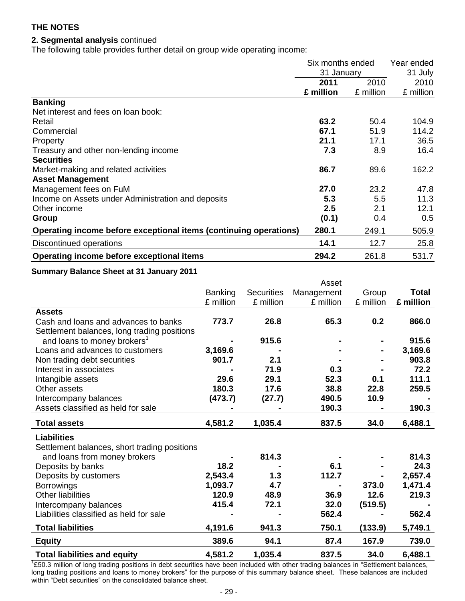## **2. Segmental analysis** continued

The following table provides further detail on group wide operating income:

|                                                                   | Six months ended<br>31 January |           | Year ended<br>31 July |  |
|-------------------------------------------------------------------|--------------------------------|-----------|-----------------------|--|
|                                                                   |                                |           |                       |  |
|                                                                   | 2011                           | 2010      | 2010                  |  |
|                                                                   | £ million                      | £ million | £ million             |  |
| <b>Banking</b>                                                    |                                |           |                       |  |
| Net interest and fees on loan book:                               |                                |           |                       |  |
| Retail                                                            | 63.2                           | 50.4      | 104.9                 |  |
| Commercial                                                        | 67.1                           | 51.9      | 114.2                 |  |
| Property                                                          | 21.1                           | 17.1      | 36.5                  |  |
| Treasury and other non-lending income                             | 7.3                            | 8.9       | 16.4                  |  |
| <b>Securities</b>                                                 |                                |           |                       |  |
| Market-making and related activities                              | 86.7                           | 89.6      | 162.2                 |  |
| <b>Asset Management</b>                                           |                                |           |                       |  |
| Management fees on FuM                                            | 27.0                           | 23.2      | 47.8                  |  |
| Income on Assets under Administration and deposits                | 5.3                            | 5.5       | 11.3                  |  |
| Other income                                                      | 2.5                            | 2.1       | 12.1                  |  |
| Group                                                             | (0.1)                          | 0.4       | 0.5                   |  |
| Operating income before exceptional items (continuing operations) | 280.1                          | 249.1     | 505.9                 |  |
| Discontinued operations                                           | 14.1                           | 12.7      | 25.8                  |  |
| Operating income before exceptional items                         | 294.2                          | 261.8     | 531.7                 |  |

#### **Summary Balance Sheet at 31 January 2011**

|                                              |                |                   | Asset      |           |              |
|----------------------------------------------|----------------|-------------------|------------|-----------|--------------|
|                                              | <b>Banking</b> | <b>Securities</b> | Management | Group     | <b>Total</b> |
|                                              | £ million      | £ million         | £ million  | £ million | £ million    |
| <b>Assets</b>                                |                |                   |            |           |              |
| Cash and loans and advances to banks         | 773.7          | 26.8              | 65.3       | 0.2       | 866.0        |
| Settlement balances, long trading positions  |                |                   |            |           |              |
| and loans to money brokers <sup>1</sup>      |                | 915.6             |            |           | 915.6        |
| Loans and advances to customers              | 3,169.6        |                   |            |           | 3,169.6      |
| Non trading debt securities                  | 901.7          | 2.1               |            |           | 903.8        |
| Interest in associates                       |                | 71.9              | 0.3        |           | 72.2         |
| Intangible assets                            | 29.6           | 29.1              | 52.3       | 0.1       | 111.1        |
| Other assets                                 | 180.3          | 17.6              | 38.8       | 22.8      | 259.5        |
| Intercompany balances                        | (473.7)        | (27.7)            | 490.5      | 10.9      |              |
| Assets classified as held for sale           |                |                   | 190.3      |           | 190.3        |
| <b>Total assets</b>                          | 4,581.2        | 1,035.4           | 837.5      | 34.0      | 6,488.1      |
| <b>Liabilities</b>                           |                |                   |            |           |              |
| Settlement balances, short trading positions |                |                   |            |           |              |
| and loans from money brokers                 |                | 814.3             |            |           | 814.3        |
| Deposits by banks                            | 18.2           |                   | 6.1        |           | 24.3         |
| Deposits by customers                        | 2,543.4        | 1.3               | 112.7      |           | 2,657.4      |
| <b>Borrowings</b>                            | 1,093.7        | 4.7               |            | 373.0     | 1,471.4      |
| <b>Other liabilities</b>                     | 120.9          | 48.9              | 36.9       | 12.6      | 219.3        |
| Intercompany balances                        | 415.4          | 72.1              | 32.0       | (519.5)   |              |
| Liabilities classified as held for sale      |                |                   | 562.4      |           | 562.4        |
| <b>Total liabilities</b>                     | 4,191.6        | 941.3             | 750.1      | (133.9)   | 5,749.1      |
| <b>Equity</b>                                | 389.6          | 94.1              | 87.4       | 167.9     | 739.0        |
| <b>Total liabilities and equity</b>          | 4,581.2        | 1,035.4           | 837.5      | 34.0      | 6,488.1      |

<sup>1</sup>£50.3 million of long trading positions in debt securities have been included with other trading balances in "Settlement balances, long trading positions and loans to money brokers" for the purpose of this summary balance sheet. These balances are included within "Debt securities" on the consolidated balance sheet.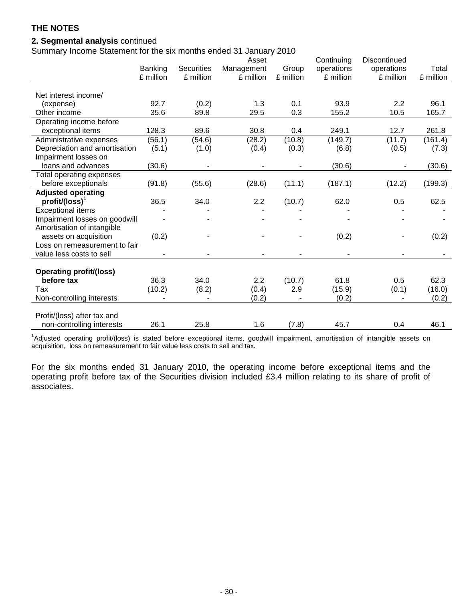## **2. Segmental analysis** continued

Summary Income Statement for the six months ended 31 January 2010

|                                |           |                   | Asset      |           | Continuing | Discontinued |           |
|--------------------------------|-----------|-------------------|------------|-----------|------------|--------------|-----------|
|                                | Banking   | <b>Securities</b> | Management | Group     | operations | operations   | Total     |
|                                | £ million | £ million         | £ million  | £ million | £ million  | £ million    | £ million |
|                                |           |                   |            |           |            |              |           |
| Net interest income/           |           |                   |            |           |            |              |           |
| (expense)                      | 92.7      | (0.2)             | 1.3        | 0.1       | 93.9       | 2.2          | 96.1      |
| Other income                   | 35.6      | 89.8              | 29.5       | 0.3       | 155.2      | 10.5         | 165.7     |
| Operating income before        |           |                   |            |           |            |              |           |
| exceptional items              | 128.3     | 89.6              | 30.8       | 0.4       | 249.1      | 12.7         | 261.8     |
| Administrative expenses        | (56.1)    | (54.6)            | (28.2)     | (10.8)    | (149.7)    | (11.7)       | (161.4)   |
| Depreciation and amortisation  | (5.1)     | (1.0)             | (0.4)      | (0.3)     | (6.8)      | (0.5)        | (7.3)     |
| Impairment losses on           |           |                   |            |           |            |              |           |
| loans and advances             | (30.6)    |                   |            |           | (30.6)     |              | (30.6)    |
| Total operating expenses       |           |                   |            |           |            |              |           |
| before exceptionals            | (91.8)    | (55.6)            | (28.6)     | (11.1)    | (187.1)    | (12.2)       | (199.3)   |
| <b>Adjusted operating</b>      |           |                   |            |           |            |              |           |
| $profit/(loss)^T$              | 36.5      | 34.0              | 2.2        | (10.7)    | 62.0       | 0.5          | 62.5      |
| <b>Exceptional items</b>       |           |                   |            |           |            |              |           |
| Impairment losses on goodwill  |           |                   |            |           |            |              |           |
| Amortisation of intangible     |           |                   |            |           |            |              |           |
| assets on acquisition          | (0.2)     |                   |            |           | (0.2)      |              | (0.2)     |
| Loss on remeasurement to fair  |           |                   |            |           |            |              |           |
| value less costs to sell       |           |                   |            |           |            |              |           |
|                                |           |                   |            |           |            |              |           |
| <b>Operating profit/(loss)</b> |           |                   |            |           |            |              |           |
| before tax                     | 36.3      | 34.0              | 2.2        | (10.7)    | 61.8       | 0.5          | 62.3      |
| Tax                            | (10.2)    | (8.2)             | (0.4)      | 2.9       | (15.9)     | (0.1)        | (16.0)    |
| Non-controlling interests      |           |                   | (0.2)      |           | (0.2)      |              | (0.2)     |
|                                |           |                   |            |           |            |              |           |
| Profit/(loss) after tax and    |           |                   |            |           |            |              |           |
| non-controlling interests      | 26.1      | 25.8              | 1.6        | (7.8)     | 45.7       | 0.4          | 46.1      |

<sup>1</sup>Adjusted operating profit/(loss) is stated before exceptional items, goodwill impairment, amortisation of intangible assets on acquisition, loss on remeasurement to fair value less costs to sell and tax.

For the six months ended 31 January 2010, the operating income before exceptional items and the operating profit before tax of the Securities division included £3.4 million relating to its share of profit of associates.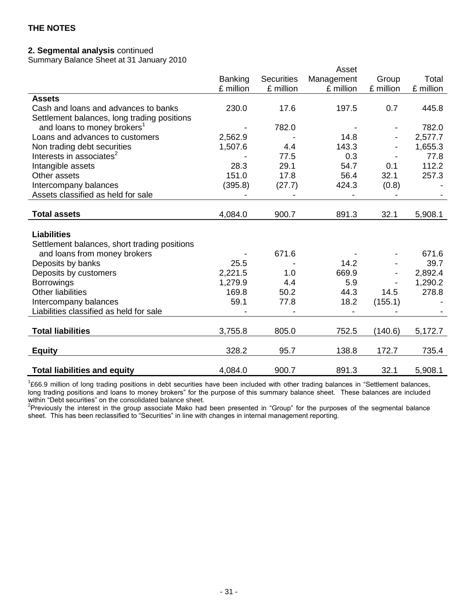## **2. Segmental analysis** continued

Summary Balance Sheet at 31 January 2010

|                                              |                |                   | Asset      |                          |           |
|----------------------------------------------|----------------|-------------------|------------|--------------------------|-----------|
|                                              | <b>Banking</b> | <b>Securities</b> | Management | Group                    | Total     |
|                                              | £ million      | £ million         | £ million  | £ million                | £ million |
| <b>Assets</b>                                |                |                   |            |                          |           |
| Cash and loans and advances to banks         | 230.0          | 17.6              | 197.5      | 0.7                      | 445.8     |
| Settlement balances, long trading positions  |                |                   |            |                          |           |
| and loans to money brokers <sup>1</sup>      |                | 782.0             |            |                          | 782.0     |
| Loans and advances to customers              | 2,562.9        |                   | 14.8       | $\overline{\phantom{a}}$ | 2,577.7   |
| Non trading debt securities                  | 1,507.6        | 4.4               | 143.3      |                          | 1,655.3   |
| Interests in associates <sup>2</sup>         |                | 77.5              | 0.3        |                          | 77.8      |
| Intangible assets                            | 28.3           | 29.1              | 54.7       | 0.1                      | 112.2     |
| Other assets                                 | 151.0          | 17.8              | 56.4       | 32.1                     | 257.3     |
| Intercompany balances                        | (395.8)        | (27.7)            | 424.3      | (0.8)                    |           |
| Assets classified as held for sale           |                |                   |            |                          |           |
|                                              |                |                   |            |                          |           |
| <b>Total assets</b>                          | 4,084.0        | 900.7             | 891.3      | 32.1                     | 5,908.1   |
|                                              |                |                   |            |                          |           |
| <b>Liabilities</b>                           |                |                   |            |                          |           |
| Settlement balances, short trading positions |                |                   |            |                          |           |
| and loans from money brokers                 |                | 671.6             |            |                          | 671.6     |
| Deposits by banks                            | 25.5           |                   | 14.2       |                          | 39.7      |
| Deposits by customers                        | 2,221.5        | 1.0               | 669.9      |                          | 2,892.4   |
| <b>Borrowings</b>                            | 1,279.9        | 4.4               | 5.9        |                          | 1,290.2   |
| <b>Other liabilities</b>                     | 169.8          | 50.2              | 44.3       | 14.5                     | 278.8     |
| Intercompany balances                        | 59.1           | 77.8              | 18.2       | (155.1)                  |           |
| Liabilities classified as held for sale      |                |                   |            |                          |           |
|                                              |                |                   |            |                          |           |
| <b>Total liabilities</b>                     | 3,755.8        | 805.0             | 752.5      | (140.6)                  | 5,172.7   |
|                                              |                |                   |            |                          |           |
| <b>Equity</b>                                | 328.2          | 95.7              | 138.8      | 172.7                    | 735.4     |
| <b>Total liabilities and equity</b>          | 4,084.0        | 900.7             | 891.3      | 32.1                     | 5,908.1   |

<sup>1</sup>£66.9 million of long trading positions in debt securities have been included with other trading balances in "Settlement balances, long trading positions and loans to money brokers" for the purpose of this summary balance sheet. These balances are included within "Debt securities" on the consolidated balance sheet.

<sup>2</sup>Previously the interest in the group associate Mako had been presented in "Group" for the purposes of the segmental balance sheet. This has been reclassified to "Securities" in line with changes in internal management reporting.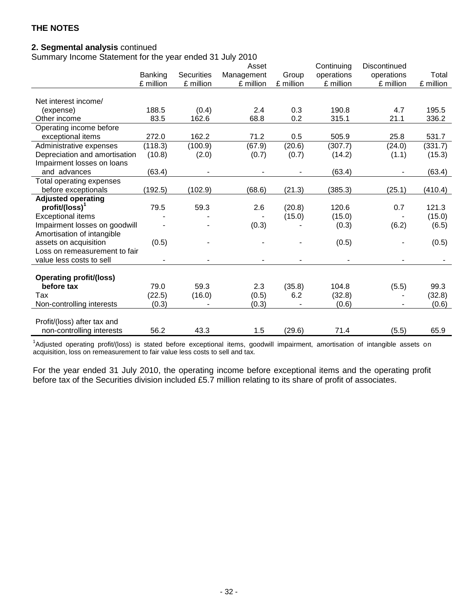# **2. Segmental analysis** continued

Summary Income Statement for the year ended 31 July 2010

|                                |           |                   | Asset      |           | Continuing | Discontinued |           |
|--------------------------------|-----------|-------------------|------------|-----------|------------|--------------|-----------|
|                                | Banking   | <b>Securities</b> | Management | Group     | operations | operations   | Total     |
|                                | £ million | £ million         | £ million  | £ million | £ million  | £ million    | £ million |
|                                |           |                   |            |           |            |              |           |
| Net interest income/           |           |                   |            |           |            |              |           |
| (expense)                      | 188.5     | (0.4)             | 2.4        | 0.3       | 190.8      | 4.7          | 195.5     |
| Other income                   | 83.5      | 162.6             | 68.8       | 0.2       | 315.1      | 21.1         | 336.2     |
| Operating income before        |           |                   |            |           |            |              |           |
| exceptional items              | 272.0     | 162.2             | 71.2       | 0.5       | 505.9      | 25.8         | 531.7     |
| Administrative expenses        | (118.3)   | (100.9)           | (67.9)     | (20.6)    | (307.7)    | (24.0)       | (331.7)   |
| Depreciation and amortisation  | (10.8)    | (2.0)             | (0.7)      | (0.7)     | (14.2)     | (1.1)        | (15.3)    |
| Impairment losses on loans     |           |                   |            |           |            |              |           |
| and advances                   | (63.4)    |                   |            |           | (63.4)     |              | (63.4)    |
| Total operating expenses       |           |                   |            |           |            |              |           |
| before exceptionals            | (192.5)   | (102.9)           | (68.6)     | (21.3)    | (385.3)    | (25.1)       | (410.4)   |
| <b>Adjusted operating</b>      |           |                   |            |           |            |              |           |
| profit/(loss) <sup>1</sup>     | 79.5      | 59.3              | 2.6        | (20.8)    | 120.6      | 0.7          | 121.3     |
| <b>Exceptional items</b>       |           |                   |            | (15.0)    | (15.0)     |              | (15.0)    |
| Impairment losses on goodwill  |           |                   | (0.3)      |           | (0.3)      | (6.2)        | (6.5)     |
| Amortisation of intangible     |           |                   |            |           |            |              |           |
| assets on acquisition          | (0.5)     |                   |            |           | (0.5)      |              | (0.5)     |
| Loss on remeasurement to fair  |           |                   |            |           |            |              |           |
| value less costs to sell       |           |                   |            |           |            |              |           |
|                                |           |                   |            |           |            |              |           |
| <b>Operating profit/(loss)</b> |           |                   |            |           |            |              |           |
| before tax                     | 79.0      | 59.3              | 2.3        | (35.8)    | 104.8      | (5.5)        | 99.3      |
| Tax                            | (22.5)    | (16.0)            | (0.5)      | 6.2       | (32.8)     |              | (32.8)    |
| Non-controlling interests      | (0.3)     |                   | (0.3)      |           | (0.6)      |              | (0.6)     |
|                                |           |                   |            |           |            |              |           |
| Profit/(loss) after tax and    |           |                   |            |           |            |              |           |
| non-controlling interests      | 56.2      | 43.3              | 1.5        | (29.6)    | 71.4       | (5.5)        | 65.9      |

<sup>1</sup>Adjusted operating profit/(loss) is stated before exceptional items, goodwill impairment, amortisation of intangible assets on acquisition, loss on remeasurement to fair value less costs to sell and tax.

For the year ended 31 July 2010, the operating income before exceptional items and the operating profit before tax of the Securities division included £5.7 million relating to its share of profit of associates.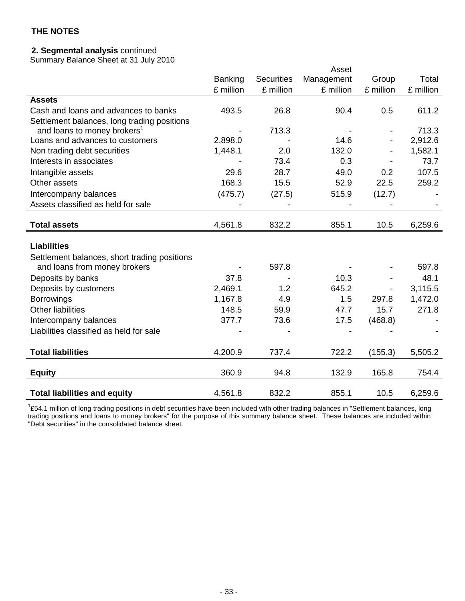## **2. Segmental analysis** continued

Summary Balance Sheet at 31 July 2010

|                                              |           |                   | Asset      |           |           |
|----------------------------------------------|-----------|-------------------|------------|-----------|-----------|
|                                              | Banking   | <b>Securities</b> | Management | Group     | Total     |
|                                              | £ million | £ million         | £ million  | £ million | £ million |
| <b>Assets</b>                                |           |                   |            |           |           |
| Cash and loans and advances to banks         | 493.5     | 26.8              | 90.4       | 0.5       | 611.2     |
| Settlement balances, long trading positions  |           |                   |            |           |           |
| and loans to money brokers <sup>1</sup>      |           | 713.3             |            |           | 713.3     |
| Loans and advances to customers              | 2,898.0   |                   | 14.6       |           | 2,912.6   |
| Non trading debt securities                  | 1,448.1   | 2.0               | 132.0      |           | 1,582.1   |
| Interests in associates                      |           | 73.4              | 0.3        |           | 73.7      |
| Intangible assets                            | 29.6      | 28.7              | 49.0       | 0.2       | 107.5     |
| Other assets                                 | 168.3     | 15.5              | 52.9       | 22.5      | 259.2     |
| Intercompany balances                        | (475.7)   | (27.5)            | 515.9      | (12.7)    |           |
| Assets classified as held for sale           |           |                   |            |           |           |
|                                              |           |                   |            |           |           |
| <b>Total assets</b>                          | 4,561.8   | 832.2             | 855.1      | 10.5      | 6,259.6   |
|                                              |           |                   |            |           |           |
| <b>Liabilities</b>                           |           |                   |            |           |           |
| Settlement balances, short trading positions |           |                   |            |           |           |
| and loans from money brokers                 |           | 597.8             |            |           | 597.8     |
| Deposits by banks                            | 37.8      |                   | 10.3       |           | 48.1      |
| Deposits by customers                        | 2,469.1   | 1.2               | 645.2      |           | 3,115.5   |
| <b>Borrowings</b>                            | 1,167.8   | 4.9               | 1.5        | 297.8     | 1,472.0   |
| <b>Other liabilities</b>                     | 148.5     | 59.9              | 47.7       | 15.7      | 271.8     |
| Intercompany balances                        | 377.7     | 73.6              | 17.5       | (468.8)   |           |
| Liabilities classified as held for sale      |           |                   |            |           |           |
|                                              |           |                   |            |           |           |
| <b>Total liabilities</b>                     | 4,200.9   | 737.4             | 722.2      | (155.3)   | 5,505.2   |
|                                              |           |                   |            |           |           |
| <b>Equity</b>                                | 360.9     | 94.8              | 132.9      | 165.8     | 754.4     |
|                                              |           |                   |            |           |           |
| <b>Total liabilities and equity</b>          | 4,561.8   | 832.2             | 855.1      | 10.5      | 6,259.6   |

 $1254.1$  million of long trading positions in debt securities have been included with other trading balances in "Settlement balances, long trading positions and loans to money brokers" for the purpose of this summary balance sheet. These balances are included within "Debt securities" in the consolidated balance sheet.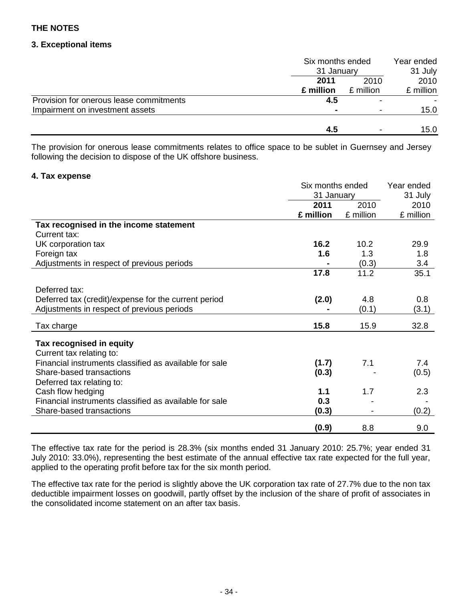## **3. Exceptional items**

|                                         | Six months ended<br>31 January |           | Year ended |
|-----------------------------------------|--------------------------------|-----------|------------|
|                                         |                                |           | 31 July    |
|                                         | 2011                           | 2010      | 2010       |
|                                         | £ million                      | £ million | £ million  |
| Provision for onerous lease commitments | 4.5                            |           |            |
| Impairment on investment assets         |                                |           | 15.0       |
|                                         | 4.5                            |           | 15.0       |

The provision for onerous lease commitments relates to office space to be sublet in Guernsey and Jersey following the decision to dispose of the UK offshore business.

## **4. Tax expense**

|                                                        | Six months ended | Year ended |           |
|--------------------------------------------------------|------------------|------------|-----------|
|                                                        | 31 January       |            | 31 July   |
|                                                        | 2011             | 2010       | 2010      |
|                                                        | £ million        | £ million  | £ million |
| Tax recognised in the income statement                 |                  |            |           |
| Current tax:                                           |                  |            |           |
| UK corporation tax                                     | 16.2             | 10.2       | 29.9      |
| Foreign tax                                            | 1.6              | 1.3        | 1.8       |
| Adjustments in respect of previous periods             |                  | (0.3)      | 3.4       |
|                                                        | 17.8             | 11.2       | 35.1      |
|                                                        |                  |            |           |
| Deferred tax:                                          |                  |            |           |
| Deferred tax (credit)/expense for the current period   | (2.0)            | 4.8        | 0.8       |
| Adjustments in respect of previous periods             |                  | (0.1)      | (3.1)     |
| Tax charge                                             | 15.8             | 15.9       | 32.8      |
|                                                        |                  |            |           |
| Tax recognised in equity                               |                  |            |           |
| Current tax relating to:                               |                  |            |           |
| Financial instruments classified as available for sale | (1.7)            | 7.1        | 7.4       |
| Share-based transactions                               | (0.3)            |            | (0.5)     |
| Deferred tax relating to:                              |                  |            |           |
| Cash flow hedging                                      | 1.1              | 1.7        | 2.3       |
| Financial instruments classified as available for sale | 0.3              |            |           |
| Share-based transactions                               | (0.3)            |            | (0.2)     |
|                                                        |                  |            |           |
|                                                        | (0.9)            | 8.8        | 9.0       |

The effective tax rate for the period is 28.3% (six months ended 31 January 2010: 25.7%; year ended 31 July 2010: 33.0%), representing the best estimate of the annual effective tax rate expected for the full year, applied to the operating profit before tax for the six month period.

The effective tax rate for the period is slightly above the UK corporation tax rate of 27.7% due to the non tax deductible impairment losses on goodwill, partly offset by the inclusion of the share of profit of associates in the consolidated income statement on an after tax basis.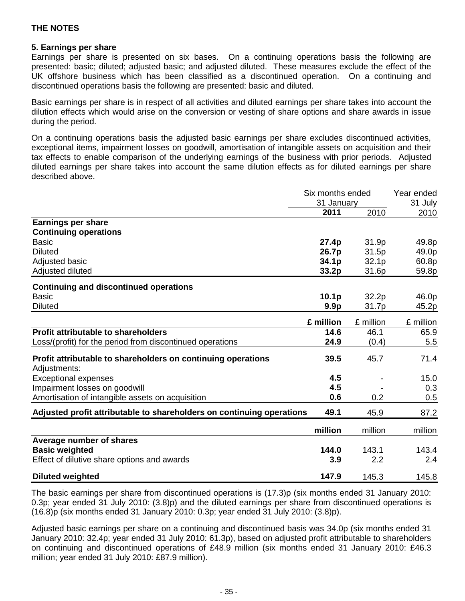## **5. Earnings per share**

Earnings per share is presented on six bases. On a continuing operations basis the following are presented: basic; diluted; adjusted basic; and adjusted diluted. These measures exclude the effect of the UK offshore business which has been classified as a discontinued operation. On a continuing and discontinued operations basis the following are presented: basic and diluted.

Basic earnings per share is in respect of all activities and diluted earnings per share takes into account the dilution effects which would arise on the conversion or vesting of share options and share awards in issue during the period.

On a continuing operations basis the adjusted basic earnings per share excludes discontinued activities, exceptional items, impairment losses on goodwill, amortisation of intangible assets on acquisition and their tax effects to enable comparison of the underlying earnings of the business with prior periods. Adjusted diluted earnings per share takes into account the same dilution effects as for diluted earnings per share described above.

|                                                                              | Six months ended<br>31 January |           | Year ended<br>31 July |
|------------------------------------------------------------------------------|--------------------------------|-----------|-----------------------|
|                                                                              | 2011                           | 2010      | 2010                  |
| <b>Earnings per share</b><br><b>Continuing operations</b>                    |                                |           |                       |
| <b>Basic</b>                                                                 | 27.4p                          | 31.9p     | 49.8p                 |
| <b>Diluted</b>                                                               | 26.7p                          | 31.5p     | 49.0p                 |
| Adjusted basic                                                               | 34.1p                          | 32.1p     | 60.8p                 |
| Adjusted diluted                                                             | 33.2 <sub>p</sub>              | 31.6p     | 59.8p                 |
| <b>Continuing and discontinued operations</b>                                |                                |           |                       |
| <b>Basic</b>                                                                 | 10.1 <sub>p</sub>              | 32.2p     | 46.0p                 |
| <b>Diluted</b>                                                               | 9.9 <sub>p</sub>               | 31.7p     | 45.2p                 |
|                                                                              | £ million                      | £ million | £ million             |
| Profit attributable to shareholders                                          | 14.6                           | 46.1      | 65.9                  |
| Loss/(profit) for the period from discontinued operations                    | 24.9                           | (0.4)     | 5.5                   |
| Profit attributable to shareholders on continuing operations<br>Adjustments: | 39.5                           | 45.7      | 71.4                  |
| <b>Exceptional expenses</b>                                                  | 4.5                            |           | 15.0                  |
| Impairment losses on goodwill                                                | 4.5                            |           | 0.3                   |
| Amortisation of intangible assets on acquisition                             | 0.6                            | 0.2       | 0.5                   |
| Adjusted profit attributable to shareholders on continuing operations        | 49.1                           | 45.9      | 87.2                  |
|                                                                              | million                        | million   | million               |
| Average number of shares                                                     |                                |           |                       |
| <b>Basic weighted</b>                                                        | 144.0                          | 143.1     | 143.4                 |
| Effect of dilutive share options and awards                                  | 3.9                            | 2.2       | 2.4                   |
| <b>Diluted weighted</b>                                                      | 147.9                          | 145.3     | 145.8                 |

The basic earnings per share from discontinued operations is (17.3)p (six months ended 31 January 2010: 0.3p; year ended 31 July 2010: (3.8)p) and the diluted earnings per share from discontinued operations is (16.8)p (six months ended 31 January 2010: 0.3p; year ended 31 July 2010: (3.8)p).

Adjusted basic earnings per share on a continuing and discontinued basis was 34.0p (six months ended 31 January 2010: 32.4p; year ended 31 July 2010: 61.3p), based on adjusted profit attributable to shareholders on continuing and discontinued operations of £48.9 million (six months ended 31 January 2010: £46.3 million; year ended 31 July 2010: £87.9 million).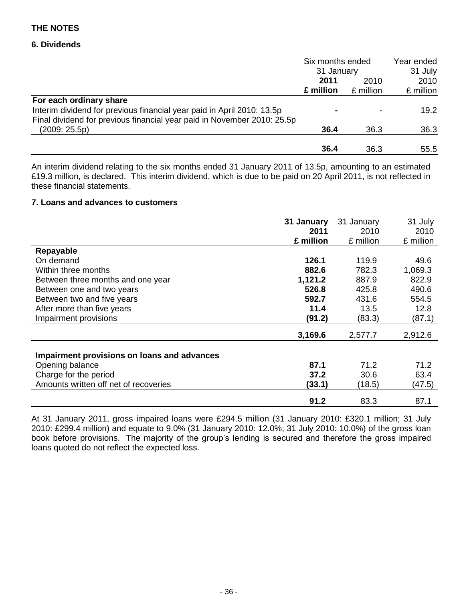## **6. Dividends**

|                                                                         | Six months ended<br>31 January |           | Year ended<br>31 July |
|-------------------------------------------------------------------------|--------------------------------|-----------|-----------------------|
|                                                                         |                                |           |                       |
|                                                                         | 2011                           | 2010      | 2010                  |
|                                                                         | £ million                      | £ million | £ million             |
| For each ordinary share                                                 |                                |           |                       |
| Interim dividend for previous financial year paid in April 2010: 13.5p  | $\blacksquare$                 |           | 19.2                  |
| Final dividend for previous financial year paid in November 2010: 25.5p |                                |           |                       |
| (2009:25.5p)                                                            | 36.4                           | 36.3      | 36.3                  |
|                                                                         | 36.4                           | 36.3      | 55.5                  |

An interim dividend relating to the six months ended 31 January 2011 of 13.5p, amounting to an estimated £19.3 million, is declared. This interim dividend, which is due to be paid on 20 April 2011, is not reflected in these financial statements.

#### **7. Loans and advances to customers**

|                                             | 31 January | 31 January | 31 July   |
|---------------------------------------------|------------|------------|-----------|
|                                             | 2011       | 2010       | 2010      |
|                                             | £ million  | £ million  | £ million |
| Repayable                                   |            |            |           |
| On demand                                   | 126.1      | 119.9      | 49.6      |
| Within three months                         | 882.6      | 782.3      | 1,069.3   |
| Between three months and one year           | 1,121.2    | 887.9      | 822.9     |
| Between one and two years                   | 526.8      | 425.8      | 490.6     |
| Between two and five years                  | 592.7      | 431.6      | 554.5     |
| After more than five years                  | 11.4       | 13.5       | 12.8      |
| Impairment provisions                       | (91.2)     | (83.3)     | (87.1)    |
|                                             | 3,169.6    | 2,577.7    | 2,912.6   |
| Impairment provisions on loans and advances |            |            |           |
| Opening balance                             | 87.1       | 71.2       | 71.2      |
| Charge for the period                       | 37.2       | 30.6       | 63.4      |
| Amounts written off net of recoveries       | (33.1)     | (18.5)     | (47.5)    |
|                                             | 91.2       | 83.3       | 87.1      |

At 31 January 2011, gross impaired loans were £294.5 million (31 January 2010: £320.1 million; 31 July 2010: £299.4 million) and equate to 9.0% (31 January 2010: 12.0%; 31 July 2010: 10.0%) of the gross loan book before provisions. The majority of the group's lending is secured and therefore the gross impaired loans quoted do not reflect the expected loss.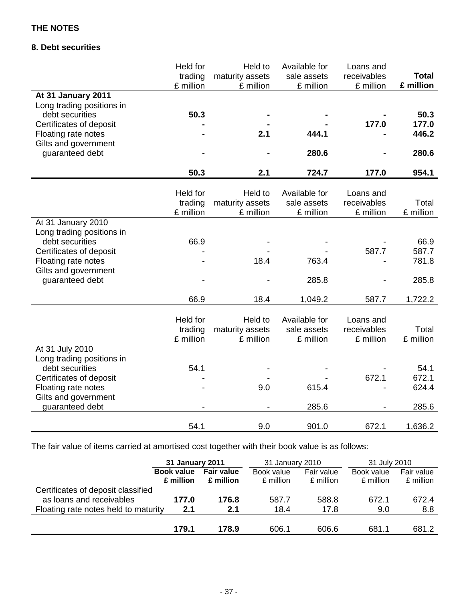# **8. Debt securities**

|                                         | Held for<br>trading | Held to<br>maturity assets | Available for<br>sale assets | Loans and<br>receivables | <b>Total</b> |
|-----------------------------------------|---------------------|----------------------------|------------------------------|--------------------------|--------------|
|                                         | £ million           | £ million                  | £ million                    | £ million                | £ million    |
| At 31 January 2011                      |                     |                            |                              |                          |              |
| Long trading positions in               |                     |                            |                              |                          |              |
| debt securities                         | 50.3                |                            |                              |                          | 50.3         |
| Certificates of deposit                 |                     |                            |                              | 177.0                    | 177.0        |
| Floating rate notes                     |                     | 2.1                        | 444.1                        |                          | 446.2        |
| Gilts and government                    |                     |                            |                              |                          |              |
| guaranteed debt                         |                     |                            | 280.6                        |                          | 280.6        |
|                                         | 50.3                | 2.1                        | 724.7                        | 177.0                    | 954.1        |
|                                         |                     |                            |                              |                          |              |
|                                         | Held for            | Held to                    | Available for                | Loans and                |              |
|                                         | trading             | maturity assets            | sale assets                  | receivables              | Total        |
|                                         | £ million           | £ million                  | £ million                    | £ million                | £ million    |
| At 31 January 2010                      |                     |                            |                              |                          |              |
| Long trading positions in               |                     |                            |                              |                          |              |
| debt securities                         | 66.9                |                            |                              |                          | 66.9         |
| Certificates of deposit                 |                     |                            |                              | 587.7                    | 587.7        |
| Floating rate notes                     |                     | 18.4                       | 763.4                        |                          | 781.8        |
| Gilts and government<br>guaranteed debt |                     |                            | 285.8                        |                          | 285.8        |
|                                         |                     |                            |                              |                          |              |
|                                         | 66.9                | 18.4                       | 1,049.2                      | 587.7                    | 1,722.2      |
|                                         | <b>Held for</b>     | Held to                    | Available for                | Loans and                |              |
|                                         | trading             | maturity assets            | sale assets                  | receivables              | Total        |
|                                         | £ million           | £ million                  | £ million                    | £ million                | £ million    |
| At 31 July 2010                         |                     |                            |                              |                          |              |
| Long trading positions in               |                     |                            |                              |                          |              |
| debt securities                         | 54.1                |                            |                              |                          | 54.1         |
| Certificates of deposit                 |                     |                            |                              | 672.1                    | 672.1        |
| Floating rate notes                     |                     | 9.0                        | 615.4                        |                          | 624.4        |
| Gilts and government                    |                     |                            |                              |                          |              |
| guaranteed debt                         |                     |                            | 285.6                        |                          | 285.6        |
|                                         | 54.1                | 9.0                        | 901.0                        | 672.1                    | 1,636.2      |
|                                         |                     |                            |                              |                          |              |

The fair value of items carried at amortised cost together with their book value is as follows:

|                                      | 31 January 2011   |                   | 31 January 2010 |            | 31 July 2010 |            |
|--------------------------------------|-------------------|-------------------|-----------------|------------|--------------|------------|
|                                      | <b>Book value</b> | <b>Fair value</b> | Book value      | Fair value | Book value   | Fair value |
|                                      | £ million         | £ million         | £ million       | £ million  | £ million    | £ million  |
| Certificates of deposit classified   |                   |                   |                 |            |              |            |
| as loans and receivables             | 177.0             | 176.8             | 587.7           | 588.8      | 672.1        | 672.4      |
| Floating rate notes held to maturity | 2.1               | 2.1               | 18.4            | 17.8       | 9.0          | 8.8        |
|                                      |                   |                   |                 |            |              |            |
|                                      | 179.1             | 178.9             | 606.1           | 606.6      | 681.1        | 681.2      |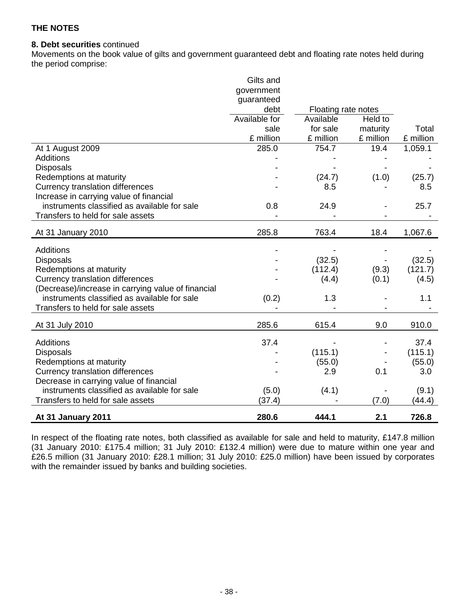## **8. Debt securities** continued

Movements on the book value of gilts and government guaranteed debt and floating rate notes held during the period comprise:

|                                                                                                    | Gilts and<br>government<br>guaranteed |                     |           |           |
|----------------------------------------------------------------------------------------------------|---------------------------------------|---------------------|-----------|-----------|
|                                                                                                    | debt                                  | Floating rate notes |           |           |
|                                                                                                    | Available for                         | Available           | Held to   |           |
|                                                                                                    | sale                                  | for sale            | maturity  | Total     |
|                                                                                                    | £ million                             | £ million           | £ million | £ million |
| At 1 August 2009                                                                                   | 285.0                                 | 754.7               | 19.4      | 1,059.1   |
| <b>Additions</b>                                                                                   |                                       |                     |           |           |
| <b>Disposals</b>                                                                                   |                                       |                     |           |           |
| Redemptions at maturity                                                                            |                                       | (24.7)              | (1.0)     | (25.7)    |
| <b>Currency translation differences</b>                                                            |                                       | 8.5                 |           | 8.5       |
| Increase in carrying value of financial                                                            |                                       |                     |           |           |
| instruments classified as available for sale                                                       | 0.8                                   | 24.9                |           | 25.7      |
| Transfers to held for sale assets                                                                  |                                       |                     |           |           |
| At 31 January 2010                                                                                 | 285.8                                 | 763.4               | 18.4      | 1,067.6   |
|                                                                                                    |                                       |                     |           |           |
| <b>Additions</b>                                                                                   |                                       |                     |           |           |
| <b>Disposals</b>                                                                                   |                                       | (32.5)              |           | (32.5)    |
| Redemptions at maturity                                                                            |                                       | (112.4)             | (9.3)     | (121.7)   |
| <b>Currency translation differences</b>                                                            |                                       | (4.4)               | (0.1)     | (4.5)     |
| (Decrease)/increase in carrying value of financial<br>instruments classified as available for sale |                                       |                     |           |           |
|                                                                                                    | (0.2)                                 | 1.3                 |           | 1.1       |
| Transfers to held for sale assets                                                                  |                                       |                     |           |           |
| At 31 July 2010                                                                                    | 285.6                                 | 615.4               | 9.0       | 910.0     |
| <b>Additions</b>                                                                                   | 37.4                                  |                     |           | 37.4      |
| <b>Disposals</b>                                                                                   |                                       | (115.1)             |           | (115.1)   |
| Redemptions at maturity                                                                            |                                       | (55.0)              |           | (55.0)    |
| <b>Currency translation differences</b>                                                            |                                       | 2.9                 | 0.1       | 3.0       |
| Decrease in carrying value of financial                                                            |                                       |                     |           |           |
| instruments classified as available for sale                                                       | (5.0)                                 | (4.1)               |           | (9.1)     |
| Transfers to held for sale assets                                                                  | (37.4)                                |                     | (7.0)     | (44.4)    |
| At 31 January 2011                                                                                 | 280.6                                 | 444.1               | 2.1       | 726.8     |

In respect of the floating rate notes, both classified as available for sale and held to maturity, £147.8 million (31 January 2010: £175.4 million; 31 July 2010: £132.4 million) were due to mature within one year and £26.5 million (31 January 2010: £28.1 million; 31 July 2010: £25.0 million) have been issued by corporates with the remainder issued by banks and building societies.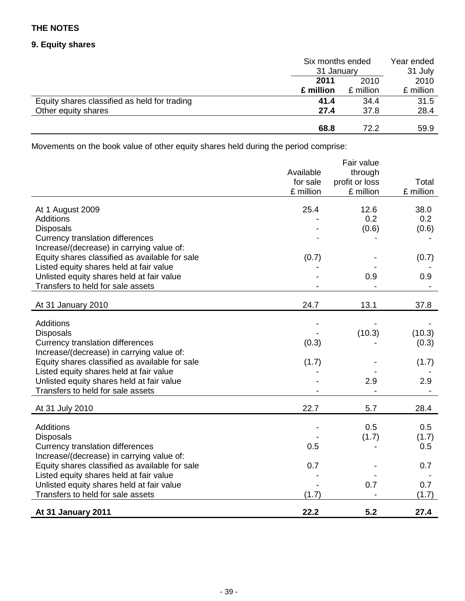# **9. Equity shares**

|                                              | Six months ended<br>31 January |           | Year ended |  |
|----------------------------------------------|--------------------------------|-----------|------------|--|
|                                              |                                |           | 31 July    |  |
|                                              | 2010<br>2011                   |           | 2010       |  |
|                                              | £ million                      | £ million | £ million  |  |
| Equity shares classified as held for trading | 41.4                           | 34.4      | 31.5       |  |
| Other equity shares                          | 27.4                           | 37.8      | 28.4       |  |
|                                              |                                |           |            |  |
|                                              | 68.8                           | 72.2      | 59.9       |  |

Movements on the book value of other equity shares held during the period comprise:

|                                                                                      | Available<br>for sale<br>£ million | Fair value<br>through<br>profit or loss<br>£ million | Total<br>£ million |
|--------------------------------------------------------------------------------------|------------------------------------|------------------------------------------------------|--------------------|
| At 1 August 2009                                                                     | 25.4                               | 12.6                                                 | 38.0               |
| <b>Additions</b>                                                                     |                                    | 0.2                                                  | 0.2                |
| <b>Disposals</b><br><b>Currency translation differences</b>                          |                                    | (0.6)                                                | (0.6)              |
| Increase/(decrease) in carrying value of:                                            |                                    |                                                      |                    |
| Equity shares classified as available for sale                                       | (0.7)                              |                                                      | (0.7)              |
| Listed equity shares held at fair value                                              |                                    |                                                      |                    |
| Unlisted equity shares held at fair value                                            |                                    | 0.9                                                  | 0.9                |
| Transfers to held for sale assets                                                    |                                    |                                                      |                    |
| At 31 January 2010                                                                   | 24.7                               | 13.1                                                 | 37.8               |
|                                                                                      |                                    |                                                      |                    |
| <b>Additions</b>                                                                     |                                    |                                                      |                    |
| <b>Disposals</b><br><b>Currency translation differences</b>                          | (0.3)                              | (10.3)                                               | (10.3)<br>(0.3)    |
| Increase/(decrease) in carrying value of:                                            |                                    |                                                      |                    |
| Equity shares classified as available for sale                                       | (1.7)                              |                                                      | (1.7)              |
| Listed equity shares held at fair value                                              |                                    |                                                      |                    |
| Unlisted equity shares held at fair value                                            |                                    | 2.9                                                  | 2.9                |
| Transfers to held for sale assets                                                    |                                    |                                                      |                    |
| At 31 July 2010                                                                      | 22.7                               | 5.7                                                  | 28.4               |
|                                                                                      |                                    |                                                      |                    |
| Additions                                                                            |                                    | 0.5                                                  | 0.5                |
| <b>Disposals</b>                                                                     |                                    | (1.7)                                                | (1.7)              |
| <b>Currency translation differences</b><br>Increase/(decrease) in carrying value of: | 0.5                                |                                                      | 0.5                |
| Equity shares classified as available for sale                                       | 0.7                                |                                                      | 0.7                |
| Listed equity shares held at fair value                                              |                                    |                                                      |                    |
| Unlisted equity shares held at fair value                                            |                                    | 0.7                                                  | 0.7                |
| Transfers to held for sale assets                                                    | (1.7)                              |                                                      | (1.7)              |
| At 31 January 2011                                                                   | 22.2                               | 5.2                                                  | 27.4               |
|                                                                                      |                                    |                                                      |                    |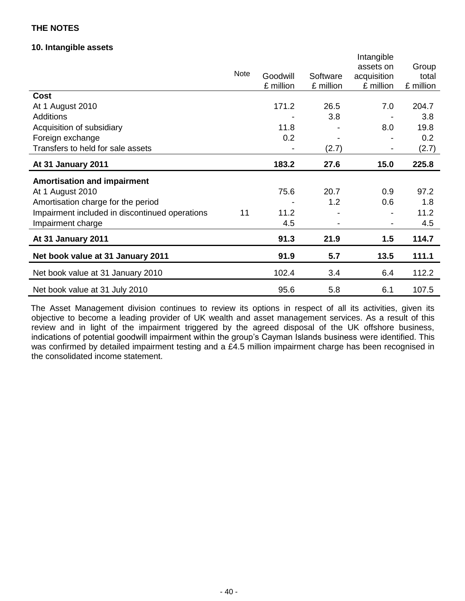## **10. Intangible assets**

|                                                |             |           |           | Intangible  |           |
|------------------------------------------------|-------------|-----------|-----------|-------------|-----------|
|                                                |             |           |           | assets on   | Group     |
|                                                | <b>Note</b> | Goodwill  | Software  | acquisition | total     |
|                                                |             | £ million | £ million | £ million   | £ million |
| Cost                                           |             |           |           |             |           |
| At 1 August 2010                               |             | 171.2     | 26.5      | 7.0         | 204.7     |
| <b>Additions</b>                               |             |           | 3.8       |             | 3.8       |
| Acquisition of subsidiary                      |             | 11.8      |           | 8.0         | 19.8      |
| Foreign exchange                               |             | 0.2       |           |             | 0.2       |
| Transfers to held for sale assets              |             |           | (2.7)     |             | (2.7)     |
| At 31 January 2011                             |             | 183.2     | 27.6      | 15.0        | 225.8     |
| <b>Amortisation and impairment</b>             |             |           |           |             |           |
| At 1 August 2010                               |             | 75.6      | 20.7      | 0.9         | 97.2      |
| Amortisation charge for the period             |             |           | 1.2       | 0.6         | 1.8       |
| Impairment included in discontinued operations | 11          | 11.2      |           |             | 11.2      |
| Impairment charge                              |             | 4.5       |           |             | 4.5       |
| At 31 January 2011                             |             | 91.3      | 21.9      | 1.5         | 114.7     |
| Net book value at 31 January 2011              |             | 91.9      | 5.7       | 13.5        | 111.1     |
| Net book value at 31 January 2010              |             | 102.4     | 3.4       | 6.4         | 112.2     |
| Net book value at 31 July 2010                 |             | 95.6      | 5.8       | 6.1         | 107.5     |

The Asset Management division continues to review its options in respect of all its activities, given its objective to become a leading provider of UK wealth and asset management services. As a result of this review and in light of the impairment triggered by the agreed disposal of the UK offshore business, indications of potential goodwill impairment within the group's Cayman Islands business were identified. This was confirmed by detailed impairment testing and a £4.5 million impairment charge has been recognised in the consolidated income statement.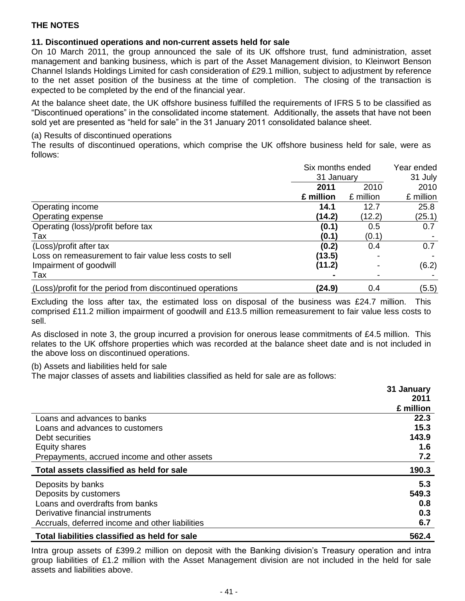## **11. Discontinued operations and non-current assets held for sale**

On 10 March 2011, the group announced the sale of its UK offshore trust, fund administration, asset management and banking business, which is part of the Asset Management division, to Kleinwort Benson Channel Islands Holdings Limited for cash consideration of £29.1 million, subject to adjustment by reference to the net asset position of the business at the time of completion. The closing of the transaction is expected to be completed by the end of the financial year.

At the balance sheet date, the UK offshore business fulfilled the requirements of IFRS 5 to be classified as "Discontinued operations" in the consolidated income statement. Additionally, the assets that have not been sold yet are presented as "held for sale" in the 31 January 2011 consolidated balance sheet.

## (a) Results of discontinued operations

The results of discontinued operations, which comprise the UK offshore business held for sale, were as follows:

|                                                           | Six months ended |           | Year ended |  |
|-----------------------------------------------------------|------------------|-----------|------------|--|
|                                                           | 31 January       |           | 31 July    |  |
|                                                           | 2011             | 2010      | 2010       |  |
|                                                           | £ million        | £ million | £ million  |  |
| Operating income                                          | 14.1             | 12.7      | 25.8       |  |
| Operating expense                                         | (14.2)           | (12.2)    | (25.1)     |  |
| Operating (loss)/profit before tax                        | (0.1)            | 0.5       | 0.7        |  |
| Tax                                                       | (0.1)            | (0.1)     |            |  |
| (Loss)/profit after tax                                   | (0.2)            | 0.4       | 0.7        |  |
| Loss on remeasurement to fair value less costs to sell    | (13.5)           |           |            |  |
| Impairment of goodwill                                    | (11.2)           |           | (6.2)      |  |
| Tax                                                       |                  |           |            |  |
| (Loss)/profit for the period from discontinued operations | (24.9)           | 0.4       | (5.5)      |  |

Excluding the loss after tax, the estimated loss on disposal of the business was £24.7 million. This comprised £11.2 million impairment of goodwill and £13.5 million remeasurement to fair value less costs to sell.

As disclosed in note 3, the group incurred a provision for onerous lease commitments of £4.5 million. This relates to the UK offshore properties which was recorded at the balance sheet date and is not included in the above loss on discontinued operations.

(b) Assets and liabilities held for sale

The major classes of assets and liabilities classified as held for sale are as follows:

|                                                 | 31 January |
|-------------------------------------------------|------------|
|                                                 | 2011       |
|                                                 | £ million  |
| Loans and advances to banks                     | 22.3       |
| Loans and advances to customers                 | 15.3       |
| Debt securities                                 | 143.9      |
| Equity shares                                   | 1.6        |
| Prepayments, accrued income and other assets    | 7.2        |
| Total assets classified as held for sale        | 190.3      |
| Deposits by banks                               | 5.3        |
| Deposits by customers                           | 549.3      |
| Loans and overdrafts from banks                 | 0.8        |
| Derivative financial instruments                | 0.3        |
| Accruals, deferred income and other liabilities | 6.7        |
| Total liabilities classified as held for sale   | 562.4      |

Intra group assets of £399.2 million on deposit with the Banking division's Treasury operation and intra group liabilities of £1.2 million with the Asset Management division are not included in the held for sale assets and liabilities above.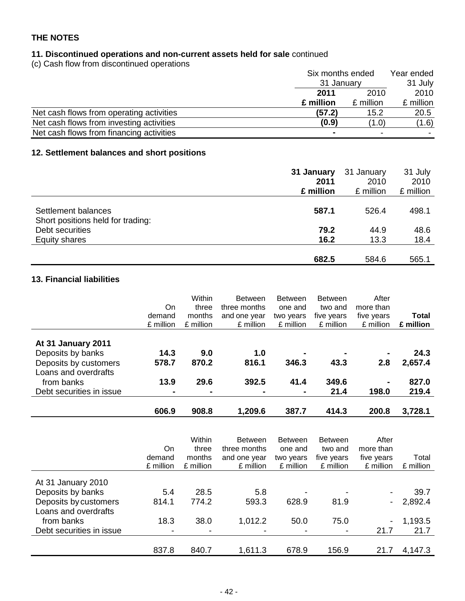# **11. Discontinued operations and non-current assets held for sale** continued

(c) Cash flow from discontinued operations

|                                          | Six months ended<br>31 January |           | Year ended |
|------------------------------------------|--------------------------------|-----------|------------|
|                                          |                                |           | 31 July    |
|                                          | 2010<br>2011                   | 2010      |            |
|                                          | £ million                      | £ million | £ million  |
| Net cash flows from operating activities | (57.2)                         | 15.2      | 20.5       |
| Net cash flows from investing activities | (0.9)                          | (1.0)     | (1.6)      |
| Net cash flows from financing activities |                                |           |            |

# **12. Settlement balances and short positions**

|                                                          | 31 January | 31 January | 31 July   |
|----------------------------------------------------------|------------|------------|-----------|
|                                                          | 2011       | 2010       | 2010      |
|                                                          | £ million  | £ million  | £ million |
| Settlement balances<br>Short positions held for trading: | 587.1      | 526.4      | 498.1     |
| Debt securities                                          | 79.2       | 44.9       | 48.6      |
| Equity shares                                            | 16.2       | 13.3       | 18.4      |
|                                                          | 682.5      | 584.6      | 565.1     |

## **13. Financial liabilities**

|                                                                                          | On<br>demand<br>£ million | Within<br>three<br>months<br>£ million | <b>Between</b><br>three months<br>and one year<br>£ million | <b>Between</b><br>one and<br>two years<br>£ million | <b>Between</b><br>two and<br>five years<br>£ million | After<br>more than<br>five years<br>£ million | Total<br>£ million |
|------------------------------------------------------------------------------------------|---------------------------|----------------------------------------|-------------------------------------------------------------|-----------------------------------------------------|------------------------------------------------------|-----------------------------------------------|--------------------|
| At 31 January 2011<br>Deposits by banks<br>Deposits by customers<br>Loans and overdrafts | 14.3<br>578.7             | 9.0<br>870.2                           | 1.0<br>816.1                                                | $\blacksquare$<br>346.3                             | 43.3                                                 | ۰.<br>2.8                                     | 24.3<br>2,657.4    |
| from banks<br>Debt securities in issue                                                   | 13.9<br>$\blacksquare$    | 29.6                                   | 392.5                                                       | 41.4<br>$\blacksquare$                              | 349.6<br>21.4                                        | ۰.<br>198.0                                   | 827.0<br>219.4     |
|                                                                                          | 606.9                     | 908.8                                  | 1,209.6                                                     | 387.7                                               | 414.3                                                | 200.8                                         | 3,728.1            |

|                          | On<br>demand<br>£ million | Within<br>three<br>months<br>£ million | <b>Between</b><br>three months<br>and one year<br>£ million | <b>Between</b><br>one and<br>two years<br>£ million | <b>Between</b><br>two and<br>five years<br>£ million | After<br>more than<br>five years<br>£ million | Total<br>£ million |
|--------------------------|---------------------------|----------------------------------------|-------------------------------------------------------------|-----------------------------------------------------|------------------------------------------------------|-----------------------------------------------|--------------------|
|                          |                           |                                        |                                                             |                                                     |                                                      |                                               |                    |
| At 31 January 2010       |                           |                                        |                                                             |                                                     |                                                      |                                               |                    |
| Deposits by banks        | 5.4                       | 28.5                                   | 5.8                                                         |                                                     | $\overline{\phantom{a}}$                             | -                                             | 39.7               |
| Deposits by customers    | 814.1                     | 774.2                                  | 593.3                                                       | 628.9                                               | 81.9                                                 | $\sim$                                        | 2,892.4            |
| Loans and overdrafts     |                           |                                        |                                                             |                                                     |                                                      |                                               |                    |
| from banks               | 18.3                      | 38.0                                   | 1,012.2                                                     | 50.0                                                | 75.0                                                 | $\blacksquare$                                | 1,193.5            |
| Debt securities in issue |                           |                                        |                                                             |                                                     | $\overline{\phantom{a}}$                             | 21.7                                          | 21.7               |
|                          |                           |                                        |                                                             |                                                     |                                                      |                                               |                    |
|                          | 837.8                     | 840.7                                  | 1,611.3                                                     | 678.9                                               | 156.9                                                | 21.7                                          | 4,147.3            |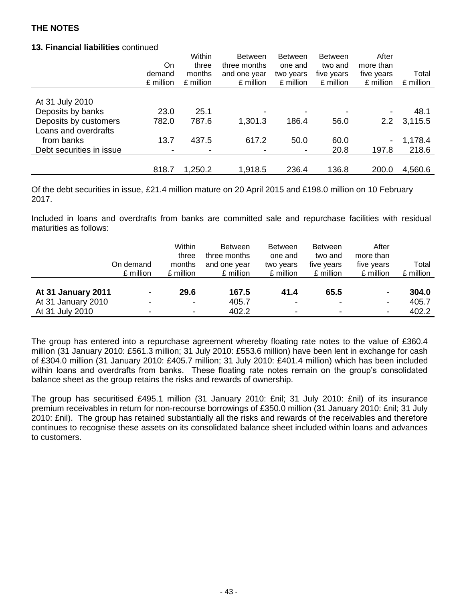## **13. Financial liabilities** continued

|                          |           | Within    | <b>Between</b> | <b>Between</b> | <b>Between</b> | After            |           |
|--------------------------|-----------|-----------|----------------|----------------|----------------|------------------|-----------|
|                          | <b>On</b> | three     | three months   | one and        | two and        | more than        |           |
|                          | demand    | months    | and one year   | two years      | five years     | five years       | Total     |
|                          | £ million | £ million | £ million      | £ million      | £ million      | £ million        | £ million |
|                          |           |           |                |                |                |                  |           |
| At 31 July 2010          |           |           |                |                |                |                  |           |
| Deposits by banks        | 23.0      | 25.1      |                |                |                |                  | 48.1      |
| Deposits by customers    | 782.0     | 787.6     | 1,301.3        | 186.4          | 56.0           | 2.2 <sub>2</sub> | 3,115.5   |
| Loans and overdrafts     |           |           |                |                |                |                  |           |
| from banks               | 13.7      | 437.5     | 617.2          | 50.0           | 60.0           | $\blacksquare$   | 1,178.4   |
| Debt securities in issue |           |           |                |                | 20.8           | 197.8            | 218.6     |
|                          |           |           |                |                |                |                  |           |
|                          | 818.7     | 1,250.2   | 1,918.5        | 236.4          | 136.8          | 200.0            | 4,560.6   |

Of the debt securities in issue, £21.4 million mature on 20 April 2015 and £198.0 million on 10 February 2017.

Included in loans and overdrafts from banks are committed sale and repurchase facilities with residual maturities as follows:

| On demand<br>£ million                                                        | Within<br>three<br>months<br>£ million             | <b>Between</b><br>three months<br>and one year<br>£ million | <b>Between</b><br>one and<br>two years<br>£ million          | <b>Between</b><br>two and<br>five years<br>£ million | After<br>more than<br>five years<br>£ million                | Total<br>£ million      |
|-------------------------------------------------------------------------------|----------------------------------------------------|-------------------------------------------------------------|--------------------------------------------------------------|------------------------------------------------------|--------------------------------------------------------------|-------------------------|
| At 31 January 2011<br>$\blacksquare$<br>At 31 January 2010<br>At 31 July 2010 | 29.6<br>$\overline{\phantom{a}}$<br>$\blacksquare$ | 167.5<br>405.7<br>402.2                                     | 41.4<br>$\overline{\phantom{a}}$<br>$\overline{\phantom{a}}$ | 65.5<br>٠<br>٠                                       | $\blacksquare$<br>$\overline{\phantom{a}}$<br>$\blacksquare$ | 304.0<br>405.7<br>402.2 |

The group has entered into a repurchase agreement whereby floating rate notes to the value of £360.4 million (31 January 2010: £561.3 million; 31 July 2010: £553.6 million) have been lent in exchange for cash of £304.0 million (31 January 2010: £405.7 million; 31 July 2010: £401.4 million) which has been included within loans and overdrafts from banks. These floating rate notes remain on the group's consolidated balance sheet as the group retains the risks and rewards of ownership.

The group has securitised £495.1 million (31 January 2010: £nil; 31 July 2010: £nil) of its insurance premium receivables in return for non-recourse borrowings of £350.0 million (31 January 2010: £nil; 31 July 2010: £nil). The group has retained substantially all the risks and rewards of the receivables and therefore continues to recognise these assets on its consolidated balance sheet included within loans and advances to customers.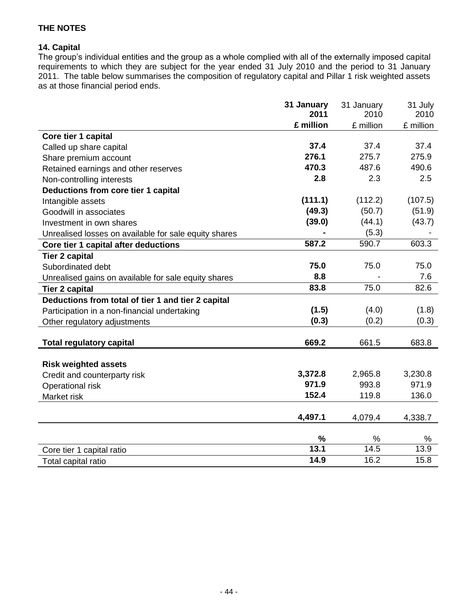## **14. Capital**

The group's individual entities and the group as a whole complied with all of the externally imposed capital requirements to which they are subject for the year ended 31 July 2010 and the period to 31 January 2011. The table below summarises the composition of regulatory capital and Pillar 1 risk weighted assets as at those financial period ends.

|                                                       | 31 January    | 31 January       | 31 July          |
|-------------------------------------------------------|---------------|------------------|------------------|
|                                                       | 2011          | 2010             | 2010             |
|                                                       | £ million     | £ million        | £ million        |
| Core tier 1 capital                                   |               |                  |                  |
| Called up share capital                               | 37.4          | 37.4             | 37.4             |
| Share premium account                                 | 276.1         | 275.7            | 275.9            |
| Retained earnings and other reserves                  | 470.3         | 487.6            | 490.6            |
| Non-controlling interests                             | 2.8           | 2.3              | 2.5              |
| Deductions from core tier 1 capital                   |               |                  |                  |
| Intangible assets                                     | (111.1)       | (112.2)          | (107.5)          |
| Goodwill in associates                                | (49.3)        | (50.7)           | (51.9)           |
| Investment in own shares                              | (39.0)        | (44.1)           | (43.7)           |
| Unrealised losses on available for sale equity shares |               | (5.3)            |                  |
| Core tier 1 capital after deductions                  | 587.2         | 590.7            | 603.3            |
| <b>Tier 2 capital</b>                                 |               |                  |                  |
| Subordinated debt                                     | 75.0          | 75.0             | 75.0             |
| Unrealised gains on available for sale equity shares  | 8.8           |                  | 7.6              |
| <b>Tier 2 capital</b>                                 | 83.8          | 75.0             | 82.6             |
| Deductions from total of tier 1 and tier 2 capital    |               |                  |                  |
| Participation in a non-financial undertaking          | (1.5)         | (4.0)            | (1.8)            |
| Other regulatory adjustments                          | (0.3)         | (0.2)            | (0.3)            |
|                                                       |               |                  |                  |
| <b>Total regulatory capital</b>                       | 669.2         | 661.5            | 683.8            |
|                                                       |               |                  |                  |
| <b>Risk weighted assets</b>                           | 3,372.8       |                  |                  |
| Credit and counterparty risk                          | 971.9         | 2,965.8<br>993.8 | 3,230.8<br>971.9 |
| Operational risk                                      | 152.4         |                  |                  |
| Market risk                                           |               | 119.8            | 136.0            |
|                                                       | 4,497.1       | 4,079.4          | 4,338.7          |
|                                                       |               |                  |                  |
|                                                       | $\frac{9}{6}$ | %                | %                |
| Core tier 1 capital ratio                             | 13.1          | 14.5             | 13.9             |
| Total capital ratio                                   | 14.9          | 16.2             | 15.8             |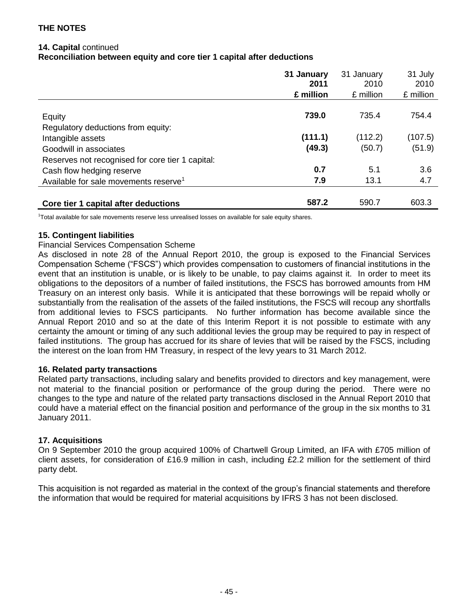## **14. Capital** continued

**Reconciliation between equity and core tier 1 capital after deductions**

|                                                   | 31 January | 31 January | 31 July   |
|---------------------------------------------------|------------|------------|-----------|
|                                                   | 2011       | 2010       | 2010      |
|                                                   | £ million  | £ million  | £ million |
|                                                   |            |            |           |
| Equity                                            | 739.0      | 735.4      | 754.4     |
| Regulatory deductions from equity:                |            |            |           |
| Intangible assets                                 | (111.1)    | (112.2)    | (107.5)   |
| Goodwill in associates                            | (49.3)     | (50.7)     | (51.9)    |
| Reserves not recognised for core tier 1 capital:  |            |            |           |
| Cash flow hedging reserve                         | 0.7        | 5.1        | 3.6       |
| Available for sale movements reserve <sup>1</sup> | 7.9        | 13.1       | 4.7       |
|                                                   |            |            |           |
| Core tier 1 capital after deductions              | 587.2      | 590.7      | 603.3     |

1 Total available for sale movements reserve less unrealised losses on available for sale equity shares.

## **15. Contingent liabilities**

#### Financial Services Compensation Scheme

As disclosed in note 28 of the Annual Report 2010, the group is exposed to the Financial Services Compensation Scheme ("FSCS") which provides compensation to customers of financial institutions in the event that an institution is unable, or is likely to be unable, to pay claims against it. In order to meet its obligations to the depositors of a number of failed institutions, the FSCS has borrowed amounts from HM Treasury on an interest only basis. While it is anticipated that these borrowings will be repaid wholly or substantially from the realisation of the assets of the failed institutions, the FSCS will recoup any shortfalls from additional levies to FSCS participants. No further information has become available since the Annual Report 2010 and so at the date of this Interim Report it is not possible to estimate with any certainty the amount or timing of any such additional levies the group may be required to pay in respect of failed institutions. The group has accrued for its share of levies that will be raised by the FSCS, including the interest on the loan from HM Treasury, in respect of the levy years to 31 March 2012.

#### **16. Related party transactions**

Related party transactions, including salary and benefits provided to directors and key management, were not material to the financial position or performance of the group during the period. There were no changes to the type and nature of the related party transactions disclosed in the Annual Report 2010 that could have a material effect on the financial position and performance of the group in the six months to 31 January 2011.

## **17. Acquisitions**

On 9 September 2010 the group acquired 100% of Chartwell Group Limited, an IFA with £705 million of client assets, for consideration of £16.9 million in cash, including £2.2 million for the settlement of third party debt.

This acquisition is not regarded as material in the context of the group's financial statements and therefore the information that would be required for material acquisitions by IFRS 3 has not been disclosed.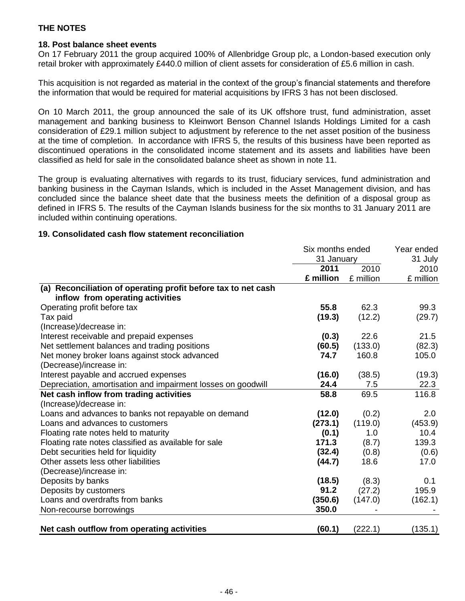## **18. Post balance sheet events**

On 17 February 2011 the group acquired 100% of Allenbridge Group plc, a London-based execution only retail broker with approximately £440.0 million of client assets for consideration of £5.6 million in cash.

This acquisition is not regarded as material in the context of the group's financial statements and therefore the information that would be required for material acquisitions by IFRS 3 has not been disclosed.

On 10 March 2011, the group announced the sale of its UK offshore trust, fund administration, asset management and banking business to Kleinwort Benson Channel Islands Holdings Limited for a cash consideration of £29.1 million subject to adjustment by reference to the net asset position of the business at the time of completion. In accordance with IFRS 5, the results of this business have been reported as discontinued operations in the consolidated income statement and its assets and liabilities have been classified as held for sale in the consolidated balance sheet as shown in note 11.

The group is evaluating alternatives with regards to its trust, fiduciary services, fund administration and banking business in the Cayman Islands, which is included in the Asset Management division, and has concluded since the balance sheet date that the business meets the definition of a disposal group as defined in IFRS 5. The results of the Cayman Islands business for the six months to 31 January 2011 are included within continuing operations.

## **19. Consolidated cash flow statement reconciliation**

|                                                               | Six months ended | Year ended |           |
|---------------------------------------------------------------|------------------|------------|-----------|
|                                                               | 31 January       |            | 31 July   |
|                                                               | 2011             | 2010       | 2010      |
|                                                               | £ million        | £ million  | £ million |
| (a) Reconciliation of operating profit before tax to net cash |                  |            |           |
| inflow from operating activities                              |                  |            |           |
| Operating profit before tax                                   | 55.8             | 62.3       | 99.3      |
| Tax paid                                                      | (19.3)           | (12.2)     | (29.7)    |
| (Increase)/decrease in:                                       |                  |            |           |
| Interest receivable and prepaid expenses                      | (0.3)            | 22.6       | 21.5      |
| Net settlement balances and trading positions                 | (60.5)           | (133.0)    | (82.3)    |
| Net money broker loans against stock advanced                 | 74.7             | 160.8      | 105.0     |
| (Decrease)/increase in:                                       |                  |            |           |
| Interest payable and accrued expenses                         | (16.0)           | (38.5)     | (19.3)    |
| Depreciation, amortisation and impairment losses on goodwill  | 24.4             | 7.5        | 22.3      |
| Net cash inflow from trading activities                       | 58.8             | 69.5       | 116.8     |
| (Increase)/decrease in:                                       |                  |            |           |
| Loans and advances to banks not repayable on demand           | (12.0)           | (0.2)      | 2.0       |
| Loans and advances to customers                               | (273.1)          | (119.0)    | (453.9)   |
| Floating rate notes held to maturity                          | (0.1)            | 1.0        | 10.4      |
| Floating rate notes classified as available for sale          | 171.3            | (8.7)      | 139.3     |
| Debt securities held for liquidity                            | (32.4)           | (0.8)      | (0.6)     |
| Other assets less other liabilities                           | (44.7)           | 18.6       | 17.0      |
| (Decrease)/increase in:                                       |                  |            |           |
| Deposits by banks                                             | (18.5)           | (8.3)      | 0.1       |
| Deposits by customers                                         | 91.2             | (27.2)     | 195.9     |
| Loans and overdrafts from banks                               | (350.6)          | (147.0)    | (162.1)   |
| Non-recourse borrowings                                       | 350.0            |            |           |
|                                                               |                  |            |           |
| Net cash outflow from operating activities                    | (60.1)           | (222.1)    | (135.1)   |